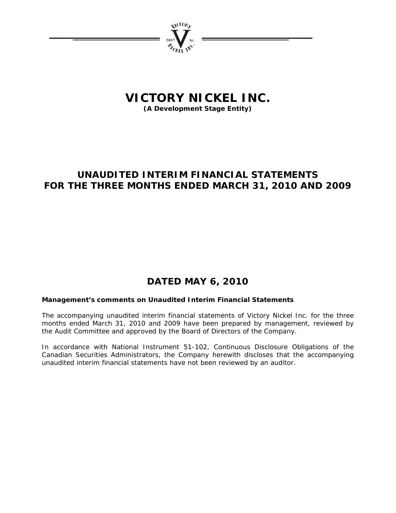

# **VICTORY NICKEL INC.**

**(A Development Stage Entity)** 

# **UNAUDITED INTERIM FINANCIAL STATEMENTS FOR THE THREE MONTHS ENDED MARCH 31, 2010 AND 2009**

# **DATED MAY 6, 2010**

# **Management's comments on Unaudited Interim Financial Statements**

The accompanying unaudited interim financial statements of Victory Nickel Inc. for the three months ended March 31, 2010 and 2009 have been prepared by management, reviewed by the Audit Committee and approved by the Board of Directors of the Company.

In accordance with National Instrument 51-102, Continuous Disclosure Obligations of the Canadian Securities Administrators, the Company herewith discloses that the accompanying unaudited interim financial statements have not been reviewed by an auditor.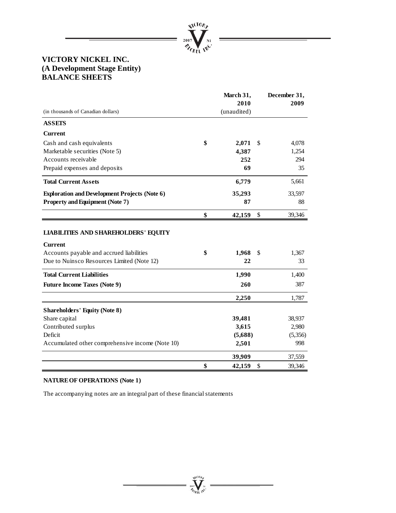

# **VICTORY NICKEL INC. (A Development Stage Entity) BALANCE SHEETS**

|                                                      | March 31,    | December 31, |
|------------------------------------------------------|--------------|--------------|
|                                                      | 2010         | 2009         |
| (in thousands of Canadian dollars)                   | (unaudited)  |              |
| <b>ASSETS</b>                                        |              |              |
| <b>Current</b>                                       |              |              |
| Cash and cash equivalents                            | \$<br>2,071  | \$<br>4,078  |
| Marketable securities (Note 5)                       | 4,387        | 1,254        |
| Accounts receivable                                  | 252          | 294          |
| Prepaid expenses and deposits                        | 69           | 35           |
| <b>Total Current Assets</b>                          | 6,779        | 5,661        |
| <b>Exploration and Development Projects (Note 6)</b> | 35,293       | 33,597       |
| <b>Property and Equipment (Note 7)</b>               | 87           | 88           |
|                                                      | \$<br>42,159 | \$<br>39,346 |
|                                                      |              |              |
| <b>LIABILITIES AND SHAREHOLDERS' EQUITY</b>          |              |              |
| <b>Current</b>                                       |              |              |
| Accounts payable and accrued liabilities             | \$<br>1,968  | \$<br>1,367  |
| Due to Nuinsco Resources Limited (Note 12)           | 22           | 33           |
| <b>Total Current Liabilities</b>                     | 1,990        | 1,400        |
| <b>Future Income Taxes (Note 9)</b>                  | 260          | 387          |
|                                                      | 2,250        | 1,787        |
|                                                      |              |              |
| <b>Shareholders' Equity (Note 8)</b>                 |              |              |
| Share capital                                        | 39,481       | 38,937       |
| Contributed surplus                                  | 3,615        | 2,980        |
| Deficit                                              | (5,688)      | (5,356)      |
| Accumulated other comprehensive income (Note 10)     | 2,501        | 998          |
|                                                      | 39,909       | 37,559       |
|                                                      | \$<br>42,159 | \$<br>39,346 |

**Wellow** 

# **NATURE OF OPERATIONS (Note 1)**

The accompanying notes are an integral part of these financial statements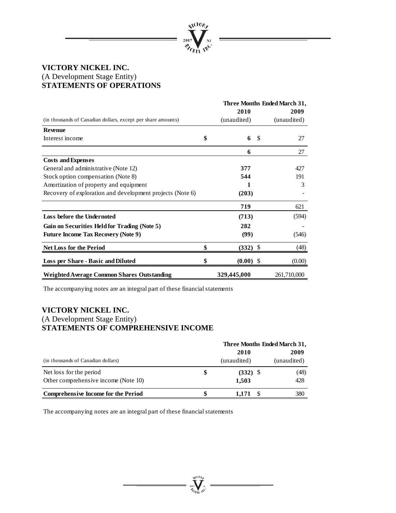

# **VICTORY NICKEL INC.**  (A Development Stage Entity) **STATEMENTS OF OPERATIONS**

|                                                              |                   | Three Months Ended March 31, |
|--------------------------------------------------------------|-------------------|------------------------------|
|                                                              | 2010              | 2009                         |
| (in thousands of Canadian dollars, except per share amounts) | (unaudited)       | (unaudited)                  |
| <b>Revenue</b>                                               |                   |                              |
| Interest income                                              | \$<br>6<br>-\$    | 27                           |
|                                                              | 6                 | 27                           |
| <b>Costs and Expenses</b>                                    |                   |                              |
| General and administrative (Note 12)                         | 377               | 427                          |
| Stock option compensation (Note 8)                           | 544               | 191                          |
| Amortization of property and equipment                       |                   | 3                            |
| Recovery of exploration and development projects (Note 6)    | (203)             |                              |
|                                                              | 719               | 621                          |
| Loss before the Undernoted                                   | (713)             | (594)                        |
| Gain on Securities Held for Trading (Note 5)                 | 282               |                              |
| <b>Future Income Tax Recovery (Note 9)</b>                   | (99)              | (546)                        |
| <b>Net Loss for the Period</b>                               | $(332)$ \$        | (48)                         |
| Loss per Share - Basic and Diluted                           | \$<br>$(0.00)$ \$ | (0.00)                       |
| <b>Weighted Average Common Shares Outstanding</b>            | 329,445,000       | 261,710,000                  |

The accompanying notes are an integral part of these financial statements

# **VICTORY NICKEL INC.**  (A Development Stage Entity) **STATEMENTS OF COMPREHENSIVE INCOME**

|                                      |   | Three Months Ended March 31, |             |  |  |  |  |
|--------------------------------------|---|------------------------------|-------------|--|--|--|--|
|                                      |   | <b>2010</b>                  | 2009        |  |  |  |  |
| (in thousands of Canadian dollars)   |   | (unaudited)                  | (unaudited) |  |  |  |  |
| Net loss for the period              | S | $(332)$ \$                   | (48)        |  |  |  |  |
| Other comprehensive income (Note 10) |   | 1,503                        | 428         |  |  |  |  |
| Comprehensive Income for the Period  |   | 1.171                        | 380         |  |  |  |  |

 $\sum_{\gamma_{\alpha}}$ 

The accompanying notes are an integral part of these financial statements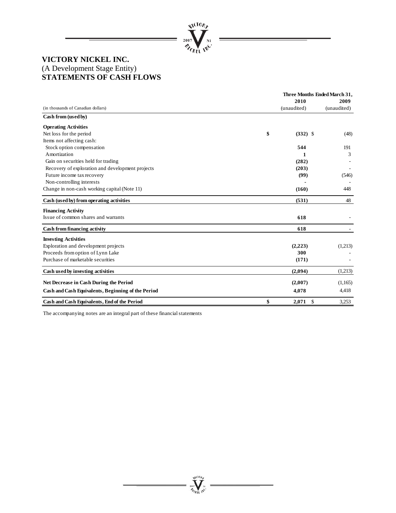

# **VICTORY NICKEL INC.**  (A Development Stage Entity) **STATEMENTS OF CASH FLOWS**

|                                                    | Three Months Ended March 31, |             |
|----------------------------------------------------|------------------------------|-------------|
|                                                    | 2010                         | 2009        |
| (in thousands of Canadian dollars)                 | (unaudited)                  | (unaudited) |
| Cash from (used by)                                |                              |             |
| <b>Operating Activities</b>                        |                              |             |
| Net loss for the period                            | \$<br>$(332)$ \$             | (48)        |
| Items not affecting cash:                          |                              |             |
| Stock option compensation                          | 544                          | 191         |
| Amortization                                       | 1                            | 3           |
| Gain on securities held for trading                | (282)                        |             |
| Recovery of exploration and development projects   | (203)                        |             |
| Future income tax recovery                         | (99)                         | (546)       |
| Non-controlling interests                          |                              |             |
| Change in non-cash working capital (Note 11)       | (160)                        | 448         |
| Cash (used by) from operating activities           | (531)                        | 48          |
| <b>Financing Activity</b>                          |                              |             |
| Issue of common shares and warrants                | 618                          |             |
| Cash from financing activity                       | 618                          |             |
| <b>Investing Activities</b>                        |                              |             |
| Exploration and development projects               | (2,223)                      | (1,213)     |
| Proceeds from option of Lynn Lake                  | 300                          |             |
| Purchase of marketable securities                  | (171)                        |             |
| Cash used by investing activities                  | (2,094)                      | (1,213)     |
| <b>Net Decrease in Cash During the Period</b>      | (2,007)                      | (1,165)     |
| Cash and Cash Equivalents, Beginning of the Period | 4,078                        | 4,418       |
| Cash and Cash Equivalents, End of the Period       | \$<br>2.071<br>$\mathcal{S}$ | 3,253       |

**Welling** 

The accompanying notes are an integral part of these financial statements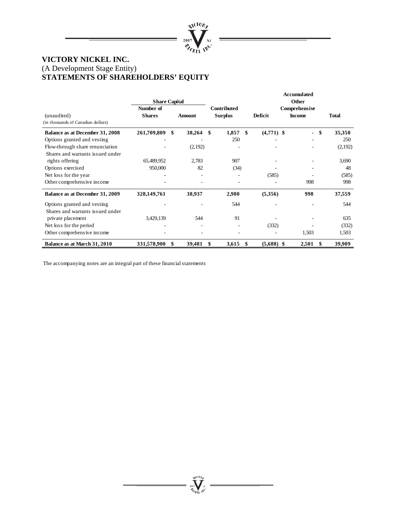

# **VICTORY NICKEL INC.**  (A Development Stage Entity) **STATEMENTS OF SHAREHOLDERS' EQUITY**

|                                                                     | <b>Share Capital</b>       |              |    |                                      |         |              | Accumulated<br>Other           |              |
|---------------------------------------------------------------------|----------------------------|--------------|----|--------------------------------------|---------|--------------|--------------------------------|--------------|
| (unaudited)<br>(in thousands of Canadian dollars)                   | Number of<br><b>Shares</b> | Amount       |    | <b>Contributed</b><br><b>Surplus</b> | Deficit |              | Comprehensive<br><b>Income</b> | <b>Total</b> |
| Balance as at December 31, 2008                                     | 261,709,809                | \$<br>38,264 | \$ | 1,857                                | \$      | $(4,771)$ \$ | $\overline{\phantom{a}}$       | \$<br>35,350 |
| Options granted and vesting                                         |                            |              |    | 250                                  |         |              |                                | 250          |
| Flow-through share renunciation<br>Shares and warrants issued under |                            | (2,192)      |    |                                      |         |              |                                | (2,192)      |
| rights offering                                                     | 65,489,952                 | 2,783        |    | 907                                  |         |              |                                | 3,690        |
| Options exercised                                                   | 950,000                    | 82           |    | (34)                                 |         |              |                                | 48           |
| Net loss for the year                                               |                            |              |    |                                      |         | (585)        |                                | (585)        |
| Other comprehensive income                                          |                            |              |    |                                      |         |              | 998                            | 998          |
| Balance as at December 31, 2009                                     | 328,149,761                | 38,937       |    | 2,980                                |         | (5,356)      | 998                            | 37,559       |
| Options granted and vesting                                         |                            |              |    | 544                                  |         |              |                                | 544          |
| Shares and warrants issued under                                    |                            |              |    |                                      |         |              |                                |              |
| private placement                                                   | 3,429,139                  | 544          |    | 91                                   |         |              |                                | 635          |
| Net loss for the period                                             |                            |              |    |                                      |         | (332)        |                                | (332)        |
| Other comprehensive income                                          |                            |              |    |                                      |         |              | 1,503                          | 1,503        |
| Balance as at March 31, 2010                                        | 331,578,900                | \$<br>39,481 | S  | 3,615                                | \$      | $(5,688)$ \$ | 2,501                          | 39,909       |

The accompanying notes are an integral part of these financial statements

Arcrov  $\sum_{\gamma_{\alpha}}$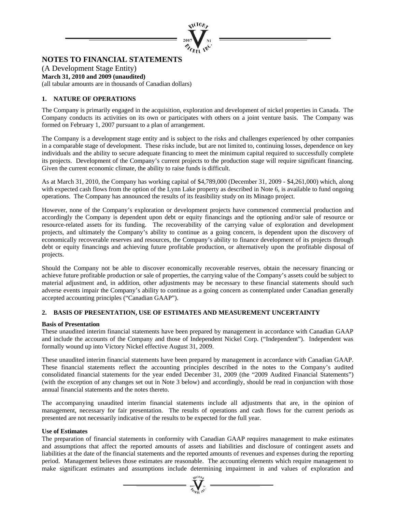

# **NOTES TO FINANCIAL STATEMENTS**

(A Development Stage Entity) **March 31, 2010 and 2009 (unaudited)**  (all tabular amounts are in thousands of Canadian dollars)

# **1. NATURE OF OPERATIONS**

The Company is primarily engaged in the acquisition, exploration and development of nickel properties in Canada. The Company conducts its activities on its own or participates with others on a joint venture basis. The Company was formed on February 1, 2007 pursuant to a plan of arrangement.

The Company is a development stage entity and is subject to the risks and challenges experienced by other companies in a comparable stage of development. These risks include, but are not limited to, continuing losses, dependence on key individuals and the ability to secure adequate financing to meet the minimum capital required to successfully complete its projects. Development of the Company's current projects to the production stage will require significant financing. Given the current economic climate, the ability to raise funds is difficult.

As at March 31, 2010, the Company has working capital of \$4,789,000 (December 31, 2009 - \$4,261,000) which, along with expected cash flows from the option of the Lynn Lake property as described in Note 6, is available to fund ongoing operations. The Company has announced the results of its feasibility study on its Minago project.

However, none of the Company's exploration or development projects have commenced commercial production and accordingly the Company is dependent upon debt or equity financings and the optioning and/or sale of resource or resource-related assets for its funding. The recoverability of the carrying value of exploration and development projects, and ultimately the Company's ability to continue as a going concern, is dependent upon the discovery of economically recoverable reserves and resources, the Company's ability to finance development of its projects through debt or equity financings and achieving future profitable production, or alternatively upon the profitable disposal of projects.

Should the Company not be able to discover economically recoverable reserves, obtain the necessary financing or achieve future profitable production or sale of properties, the carrying value of the Company's assets could be subject to material adjustment and, in addition, other adjustments may be necessary to these financial statements should such adverse events impair the Company's ability to continue as a going concern as contemplated under Canadian generally accepted accounting principles ("Canadian GAAP").

# **2. BASIS OF PRESENTATION, USE OF ESTIMATES AND MEASUREMENT UNCERTAINTY**

#### **Basis of Presentation**

These unaudited interim financial statements have been prepared by management in accordance with Canadian GAAP and include the accounts of the Company and those of Independent Nickel Corp. ("Independent"). Independent was formally wound up into Victory Nickel effective August 31, 2009.

These unaudited interim financial statements have been prepared by management in accordance with Canadian GAAP. These financial statements reflect the accounting principles described in the notes to the Company's audited consolidated financial statements for the year ended December 31, 2009 (the "2009 Audited Financial Statements") (with the exception of any changes set out in Note 3 below) and accordingly, should be read in conjunction with those annual financial statements and the notes thereto.

The accompanying unaudited interim financial statements include all adjustments that are, in the opinion of management, necessary for fair presentation. The results of operations and cash flows for the current periods as presented are not necessarily indicative of the results to be expected for the full year.

# **Use of Estimates**

The preparation of financial statements in conformity with Canadian GAAP requires management to make estimates and assumptions that affect the reported amounts of assets and liabilities and disclosure of contingent assets and liabilities at the date of the financial statements and the reported amounts of revenues and expenses during the reporting period. Management believes those estimates are reasonable. The accounting elements which require management to make significant estimates and assumptions include determining impairment in and values of exploration and

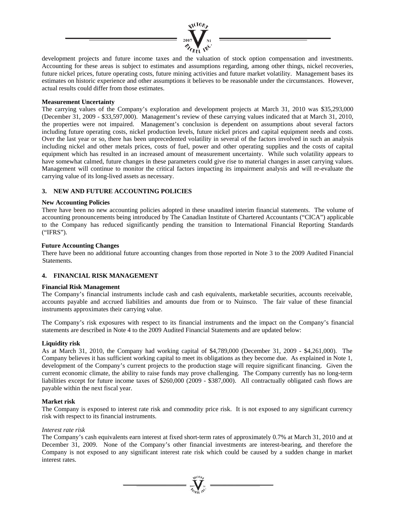

development projects and future income taxes and the valuation of stock option compensation and investments. Accounting for these areas is subject to estimates and assumptions regarding, among other things, nickel recoveries, future nickel prices, future operating costs, future mining activities and future market volatility. Management bases its estimates on historic experience and other assumptions it believes to be reasonable under the circumstances. However, actual results could differ from those estimates.

## **Measurement Uncertainty**

The carrying values of the Company's exploration and development projects at March 31, 2010 was \$35,293,000 (December 31, 2009 - \$33,597,000). Management's review of these carrying values indicated that at March 31, 2010, the properties were not impaired. Management's conclusion is dependent on assumptions about several factors including future operating costs, nickel production levels, future nickel prices and capital equipment needs and costs. Over the last year or so, there has been unprecedented volatility in several of the factors involved in such an analysis including nickel and other metals prices, costs of fuel, power and other operating supplies and the costs of capital equipment which has resulted in an increased amount of measurement uncertainty. While such volatility appears to have somewhat calmed, future changes in these parameters could give rise to material changes in asset carrying values. Management will continue to monitor the critical factors impacting its impairment analysis and will re-evaluate the carrying value of its long-lived assets as necessary.

# **3. NEW AND FUTURE ACCOUNTING POLICIES**

#### **New Accounting Policies**

There have been no new accounting policies adopted in these unaudited interim financial statements. The volume of accounting pronouncements being introduced by The Canadian Institute of Chartered Accountants ("CICA") applicable to the Company has reduced significantly pending the transition to International Financial Reporting Standards ("IFRS").

#### **Future Accounting Changes**

There have been no additional future accounting changes from those reported in Note 3 to the 2009 Audited Financial Statements.

#### **4. FINANCIAL RISK MANAGEMENT**

#### **Financial Risk Management**

The Company's financial instruments include cash and cash equivalents, marketable securities, accounts receivable, accounts payable and accrued liabilities and amounts due from or to Nuinsco. The fair value of these financial instruments approximates their carrying value.

The Company's risk exposures with respect to its financial instruments and the impact on the Company's financial statements are described in Note 4 to the 2009 Audited Financial Statements and are updated below:

#### **Liquidity risk**

As at March 31, 2010, the Company had working capital of \$4,789,000 (December 31, 2009 - \$4,261,000). The Company believes it has sufficient working capital to meet its obligations as they become due. As explained in Note 1, development of the Company's current projects to the production stage will require significant financing. Given the current economic climate, the ability to raise funds may prove challenging. The Company currently has no long-term liabilities except for future income taxes of \$260,000 (2009 - \$387,000). All contractually obligated cash flows are payable within the next fiscal year.

#### **Market risk**

The Company is exposed to interest rate risk and commodity price risk. It is not exposed to any significant currency risk with respect to its financial instruments.

#### *Interest rate risk*

The Company's cash equivalents earn interest at fixed short-term rates of approximately 0.7% at March 31, 2010 and at December 31, 2009. None of the Company's other financial investments are interest-bearing, and therefore the Company is not exposed to any significant interest rate risk which could be caused by a sudden change in market interest rates.

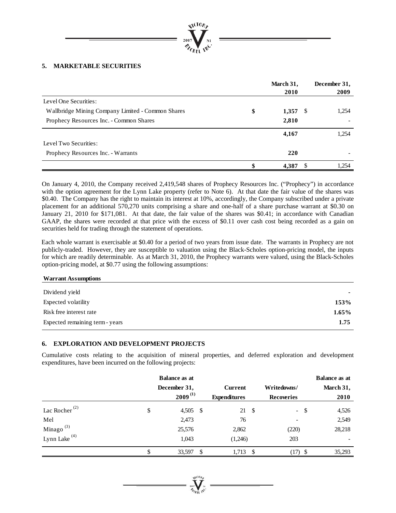

# **5. MARKETABLE SECURITIES**

|                                                   | March 31,<br>2010 | December 31,<br>2009 |
|---------------------------------------------------|-------------------|----------------------|
| Level One Securities:                             |                   |                      |
| Wallbridge Mining Company Limited - Common Shares | \$<br>$1,357$ \$  | 1,254                |
| Prophecy Resources Inc. - Common Shares           | 2,810             |                      |
|                                                   | 4,167             | 1,254                |
| Level Two Securities:                             |                   |                      |
| Prophecy Resources Inc. - Warrants                | 220               |                      |
|                                                   | 4.387             | 1,254                |

On January 4, 2010, the Company received 2,419,548 shares of Prophecy Resources Inc. ("Prophecy") in accordance with the option agreement for the Lynn Lake property (refer to Note 6). At that date the fair value of the shares was \$0.40. The Company has the right to maintain its interest at 10%, accordingly, the Company subscribed under a private placement for an additional 570,270 units comprising a share and one-half of a share purchase warrant at \$0.30 on January 21, 2010 for \$171,081. At that date, the fair value of the shares was \$0.41; in accordance with Canadian GAAP, the shares were recorded at that price with the excess of \$0.11 over cash cost being recorded as a gain on securities held for trading through the statement of operations.

Each whole warrant is exercisable at \$0.40 for a period of two years from issue date. The warrants in Prophecy are not publicly-traded. However, they are susceptible to valuation using the Black-Scholes option-pricing model, the inputs for which are readily determinable. As at March 31, 2010, the Prophecy warrants were valued, using the Black-Scholes option-pricing model, at \$0.77 using the following assumptions:

#### **Warrant Assumptions**

| Dividend yield                  |          |
|---------------------------------|----------|
| Expected volatility             | 153%     |
| Risk free interest rate         | $1.65\%$ |
| Expected remaining term - years | 1.75     |

# **6. EXPLORATION AND DEVELOPMENT PROJECTS**

Cumulative costs relating to the acquisition of mineral properties, and deferred exploration and development expenditures, have been incurred on the following projects:

|                                        | <b>Balance as at</b> |                     |      |                   | <b>Balance as at</b> |
|----------------------------------------|----------------------|---------------------|------|-------------------|----------------------|
|                                        | December 31,         | <b>Current</b>      |      | Writedowns/       | March 31,            |
|                                        | $2009^{(1)}$         | <b>Expenditures</b> |      | <b>Recoveries</b> | 2010                 |
| Lac Rocher <sup><math>(2)</math></sup> | \$<br>$4,505$ \$     | 21                  | - \$ | $-$ \$            | 4,526                |
| Mel                                    | 2,473                | 76                  |      |                   | 2,549                |
| Minago $^{(3)}$                        | 25,576               | 2,862               |      | (220)             | 28,218               |
| Lynn Lake $(4)$                        | 1,043                | (1,246)             |      | 203               |                      |
|                                        | 33,597               | \$<br>1,713         | - \$ | (17)              | 35,293               |

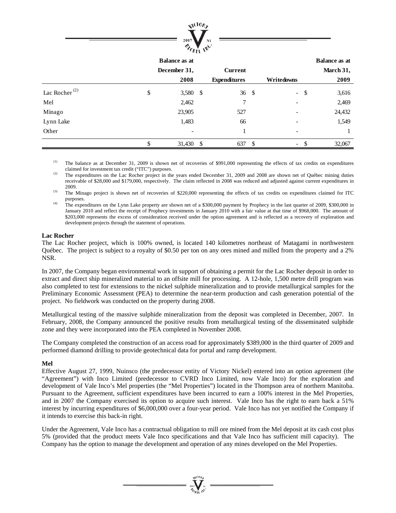

|                           | <b>Balance as at</b> |                     |          |                          |     | <b>Balance as at</b> |
|---------------------------|----------------------|---------------------|----------|--------------------------|-----|----------------------|
|                           | December 31,         | <b>Current</b>      |          |                          |     | March 31,            |
|                           | 2008                 | <b>Expenditures</b> |          | Writedowns               |     | 2009                 |
| Lac Rocher <sup>(2)</sup> | \$<br>3,580 \$       | 36                  | -\$      | $\omega$                 | -\$ | 3,616                |
| Mel                       | 2,462                | 7                   |          |                          |     | 2,469                |
| Minago                    | 23,905               | 527                 |          |                          |     | 24,432               |
| Lynn Lake                 | 1,483                | 66                  |          |                          |     | 1,549                |
| Other                     |                      |                     |          |                          |     |                      |
|                           | 31,430 \$            | 637                 | <b>S</b> | $\overline{\phantom{a}}$ |     | 32,067               |

(1) The balance as at December 31, 2009 is shown net of recoveries of \$991,000 representing the effects of tax credits on expenditures

claimed for investment tax credit ("ITC") purposes.<br>
<sup>(2)</sup> The expenditures on the Lac Rocher project in the years ended December 31, 2009 and 2008 are shown net of Québec mining duties receivable of \$28,000 and \$179,000, respectively. The claim reflected in 2008 was reduced and adjusted against current expenditures in

<sup>2009</sup>. The Minago project is shown net of recoveries of \$220,000 representing the effects of tax credits on expenditures claimed for ITC purposes.

<sup>(4)</sup> The expenditures on the Lynn Lake property are shown net of a \$300,000 payment by Prophecy in the last quarter of 2009, \$300,000 in January 2010 and reflect the receipt of Prophecy investments in January 2010 with a fair value at that time of \$968,000. The amount of \$203,000 represents the excess of consideration received under the option agreement and is reflected as a recovery of exploration and development projects through the statement of operations.

#### **Lac Rocher**

The Lac Rocher project, which is 100% owned, is located 140 kilometres northeast of Matagami in northwestern Québec. The project is subject to a royalty of \$0.50 per ton on any ores mined and milled from the property and a 2% NSR.

In 2007, the Company began environmental work in support of obtaining a permit for the Lac Rocher deposit in order to extract and direct ship mineralized material to an offsite mill for processing. A 12-hole, 1,500 metre drill program was also completed to test for extensions to the nickel sulphide mineralization and to provide metallurgical samples for the Preliminary Economic Assessment (PEA) to determine the near-term production and cash generation potential of the project. No fieldwork was conducted on the property during 2008.

Metallurgical testing of the massive sulphide mineralization from the deposit was completed in December, 2007. In February, 2008, the Company announced the positive results from metallurgical testing of the disseminated sulphide zone and they were incorporated into the PEA completed in November 2008.

The Company completed the construction of an access road for approximately \$389,000 in the third quarter of 2009 and performed diamond drilling to provide geotechnical data for portal and ramp development.

# **Mel**

Effective August 27, 1999, Nuinsco (the predecessor entity of Victory Nickel) entered into an option agreement (the "Agreement") with Inco Limited (predecessor to CVRD Inco Limited, now Vale Inco) for the exploration and development of Vale Inco's Mel properties (the "Mel Properties") located in the Thompson area of northern Manitoba. Pursuant to the Agreement, sufficient expenditures have been incurred to earn a 100% interest in the Mel Properties, and in 2007 the Company exercised its option to acquire such interest. Vale Inco has the right to earn back a 51% interest by incurring expenditures of \$6,000,000 over a four-year period. Vale Inco has not yet notified the Company if it intends to exercise this back-in right.

Under the Agreement, Vale Inco has a contractual obligation to mill ore mined from the Mel deposit at its cash cost plus 5% (provided that the product meets Vale Inco specifications and that Vale Inco has sufficient mill capacity). The Company has the option to manage the development and operation of any mines developed on the Mel Properties.

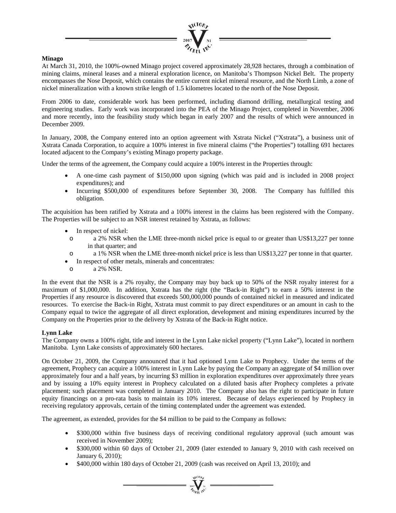

# **Minago**

At March 31, 2010, the 100%-owned Minago project covered approximately 28,928 hectares, through a combination of mining claims, mineral leases and a mineral exploration licence, on Manitoba's Thompson Nickel Belt. The property encompasses the Nose Deposit, which contains the entire current nickel mineral resource, and the North Limb, a zone of nickel mineralization with a known strike length of 1.5 kilometres located to the north of the Nose Deposit.

From 2006 to date, considerable work has been performed, including diamond drilling, metallurgical testing and engineering studies. Early work was incorporated into the PEA of the Minago Project, completed in November, 2006 and more recently, into the feasibility study which began in early 2007 and the results of which were announced in December 2009.

In January, 2008, the Company entered into an option agreement with Xstrata Nickel ("Xstrata"), a business unit of Xstrata Canada Corporation, to acquire a 100% interest in five mineral claims ("the Properties") totalling 691 hectares located adjacent to the Company's existing Minago property package.

Under the terms of the agreement, the Company could acquire a 100% interest in the Properties through:

- A one-time cash payment of \$150,000 upon signing (which was paid and is included in 2008 project expenditures); and
- Incurring \$500,000 of expenditures before September 30, 2008. The Company has fulfilled this obligation.

The acquisition has been ratified by Xstrata and a 100% interest in the claims has been registered with the Company. The Properties will be subject to an NSR interest retained by Xstrata, as follows:

- In respect of nickel:
- o a 2% NSR when the LME three-month nickel price is equal to or greater than US\$13,227 per tonne in that quarter; and
- o a 1% NSR when the LME three-month nickel price is less than US\$13,227 per tonne in that quarter.
- In respect of other metals, minerals and concentrates:
- o a 2% NSR.

In the event that the NSR is a 2% royalty, the Company may buy back up to 50% of the NSR royalty interest for a maximum of \$1,000,000. In addition, Xstrata has the right (the "Back-in Right") to earn a 50% interest in the Properties if any resource is discovered that exceeds 500,000,000 pounds of contained nickel in measured and indicated resources. To exercise the Back-in Right, Xstrata must commit to pay direct expenditures or an amount in cash to the Company equal to twice the aggregate of all direct exploration, development and mining expenditures incurred by the Company on the Properties prior to the delivery by Xstrata of the Back-in Right notice.

# **Lynn Lake**

The Company owns a 100% right, title and interest in the Lynn Lake nickel property ("Lynn Lake"), located in northern Manitoba. Lynn Lake consists of approximately 600 hectares.

On October 21, 2009, the Company announced that it had optioned Lynn Lake to Prophecy. Under the terms of the agreement, Prophecy can acquire a 100% interest in Lynn Lake by paying the Company an aggregate of \$4 million over approximately four and a half years, by incurring \$3 million in exploration expenditures over approximately three years and by issuing a 10% equity interest in Prophecy calculated on a diluted basis after Prophecy completes a private placement; such placement was completed in January 2010. The Company also has the right to participate in future equity financings on a pro-rata basis to maintain its 10% interest. Because of delays experienced by Prophecy in receiving regulatory approvals, certain of the timing contemplated under the agreement was extended.

The agreement, as extended, provides for the \$4 million to be paid to the Company as follows:

- \$300,000 within five business days of receiving conditional regulatory approval (such amount was received in November 2009);
- \$300,000 within 60 days of October 21, 2009 (later extended to January 9, 2010 with cash received on January 6, 2010);
- \$400,000 within 180 days of October 21, 2009 (cash was received on April 13, 2010); and

 $\sum_{\alpha}$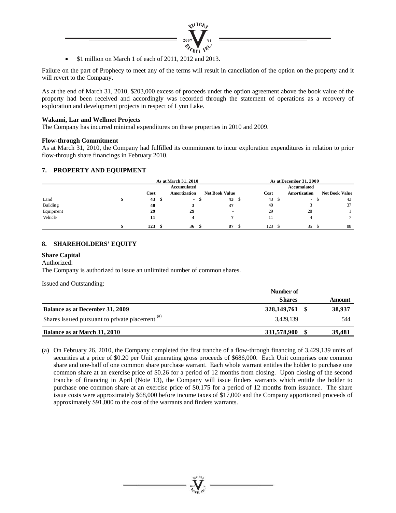

• \$1 million on March 1 of each of 2011, 2012 and 2013.

Failure on the part of Prophecy to meet any of the terms will result in cancellation of the option on the property and it will revert to the Company.

As at the end of March 31, 2010, \$203,000 excess of proceeds under the option agreement above the book value of the property had been received and accordingly was recorded through the statement of operations as a recovery of exploration and development projects in respect of Lynn Lake.

## **Wakami, Lar and Wellmet Projects**

The Company has incurred minimal expenditures on these properties in 2010 and 2009.

#### **Flow-through Commitment**

As at March 31, 2010, the Company had fulfilled its commitment to incur exploration expenditures in relation to prior flow-through share financings in February 2010.

# **7. PROPERTY AND EQUIPMENT**

|           |      |      | As at March 31, 2010 |                       |    | As at December 31, 2009 |  |                          |  |                       |
|-----------|------|------|----------------------|-----------------------|----|-------------------------|--|--------------------------|--|-----------------------|
|           |      |      | <b>Accumulated</b>   |                       |    |                         |  | Accumulated              |  |                       |
|           | Cost |      | Amortization         | <b>Net Book Value</b> |    | Cost                    |  | <b>Amortization</b>      |  | <b>Net Book Value</b> |
| Land      | 43   | - \$ | ۰.                   | 43                    | -S | $43 \quad$              |  | $\overline{\phantom{a}}$ |  | 43                    |
| Building  | 40   |      |                      | 37                    |    | 40                      |  |                          |  | 37                    |
| Equipment | 29   |      | 29                   |                       |    | 29                      |  | 28                       |  |                       |
| Vehicle   | 11   |      |                      |                       |    |                         |  |                          |  |                       |
|           | 123  |      | 36                   | 87                    |    | 123                     |  | 35                       |  | 88                    |

# **8. SHAREHOLDERS' EQUITY**

#### **Share Capital**

#### Authorized:

The Company is authorized to issue an unlimited number of common shares.

Issued and Outstanding:

|                                                            | Number of      |        |
|------------------------------------------------------------|----------------|--------|
|                                                            | <b>Shares</b>  | Amount |
| Balance as at December 31, 2009                            | 328,149,761 \$ | 38,937 |
| Shares issued pursuant to private placement <sup>(a)</sup> | 3.429.139      | 544    |
| Balance as at March 31, 2010                               | 331,578,900    | 39.481 |

(a) On February 26, 2010, the Company completed the first tranche of a flow-through financing of 3,429,139 units of securities at a price of \$0.20 per Unit generating gross proceeds of \$686,000. Each Unit comprises one common share and one-half of one common share purchase warrant. Each whole warrant entitles the holder to purchase one common share at an exercise price of \$0.26 for a period of 12 months from closing. Upon closing of the second tranche of financing in April (Note 13), the Company will issue finders warrants which entitle the holder to purchase one common share at an exercise price of \$0.175 for a period of 12 months from issuance. The share issue costs were approximately \$68,000 before income taxes of \$17,000 and the Company apportioned proceeds of approximately \$91,000 to the cost of the warrants and finders warrants.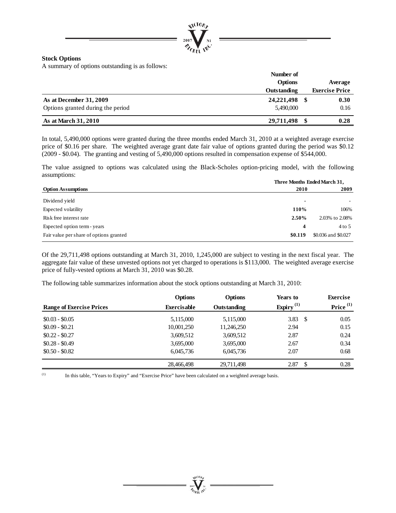

#### **Stock Options**

A summary of options outstanding is as follows:

|                                   | Number of          |                       |
|-----------------------------------|--------------------|-----------------------|
|                                   | Options            | Average               |
|                                   | <b>Outstanding</b> | <b>Exercise Price</b> |
| As at December 31, 2009           | 24, 221, 498       | 0.30                  |
| Options granted during the period | 5,490,000          | 0.16                  |
| As at March 31, 2010              | 29,711,498         | 0.28                  |

In total, 5,490,000 options were granted during the three months ended March 31, 2010 at a weighted average exercise price of \$0.16 per share. The weighted average grant date fair value of options granted during the period was \$0.12 (2009 - \$0.04). The granting and vesting of 5,490,000 options resulted in compensation expense of \$544,000.

The value assigned to options was calculated using the Black-Scholes option-pricing model, with the following assumptions:

|                                         | Three Months Ended March 31, |                     |  |  |
|-----------------------------------------|------------------------------|---------------------|--|--|
| <b>Option Assumptions</b>               | 2010                         | 2009                |  |  |
| Dividend yield                          | $\blacksquare$               |                     |  |  |
| Expected volatility                     | 110%                         | 106%                |  |  |
| Risk free interest rate                 | 2.50%                        | 2.03% to 2.08%      |  |  |
| Expected option term - years            | 4                            | $4$ to 5            |  |  |
| Fair value per share of options granted | \$0.119                      | \$0.036 and \$0.027 |  |  |

Of the 29,711,498 options outstanding at March 31, 2010, 1,245,000 are subject to vesting in the next fiscal year. The aggregate fair value of these unvested options not yet charged to operations is \$113,000. The weighted average exercise price of fully-vested options at March 31, 2010 was \$0.28.

The following table summarizes information about the stock options outstanding at March 31, 2010:

| <b>Range of Exercise Prices</b> | <b>Options</b><br><b>Exercisable</b> | <b>Options</b><br>Outstanding | Years to<br>Expiry <sup>(1)</sup> | <b>Exercise</b><br>Price <sup>(1)</sup> |
|---------------------------------|--------------------------------------|-------------------------------|-----------------------------------|-----------------------------------------|
| $$0.03 - $0.05$                 | 5,115,000                            | 5,115,000                     | 3.83<br>-S                        | 0.05                                    |
| $$0.09 - $0.21$                 | 10,001,250                           | 11,246,250                    | 2.94                              | 0.15                                    |
| $$0.22 - $0.27$                 | 3,609,512                            | 3,609,512                     | 2.87                              | 0.24                                    |
| $$0.28 - $0.49$                 | 3,695,000                            | 3,695,000                     | 2.67                              | 0.34                                    |
| $$0.50 - $0.82$$                | 6,045,736                            | 6,045,736                     | 2.07                              | 0.68                                    |
|                                 | 28,466,498                           | 29,711,498                    | 2.87<br>\$                        | 0.28                                    |

(1) In this table, "Years to Expiry" and "Exercise Price" have been calculated on a weighted average basis.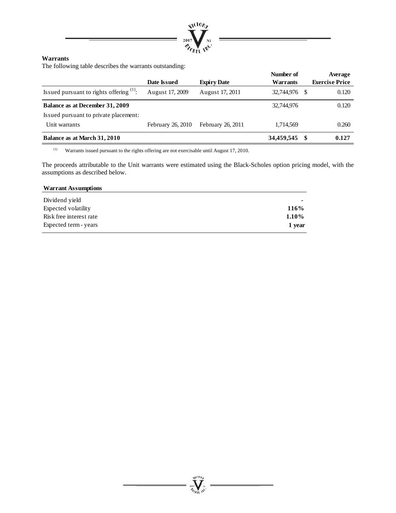

# **Warrants**

The following table describes the warrants outstanding:

|                                                                          | Date Issued       | <b>Expiry Date</b> | Number of<br>Warrants | Average<br><b>Exercise Price</b> |
|--------------------------------------------------------------------------|-------------------|--------------------|-----------------------|----------------------------------|
| Issued pursuant to rights offering $(1)$ :                               | August 17, 2009   | August 17, 2011    | 32,744,976            | 0.120<br>-S                      |
| Balance as at December 31, 2009<br>Issued pursuant to private placement: |                   |                    | 32,744,976            | 0.120                            |
| Unit warrants                                                            | February 26, 2010 | February 26, 2011  | 1,714,569             | 0.260                            |
| Balance as at March 31, 2010                                             |                   |                    | 34,459,545            | 0.127<br>S                       |

(1) Warrants issued pursuant to the rights offering are not exercisable until August 17, 2010.

The proceeds attributable to the Unit warrants were estimated using the Black-Scholes option pricing model, with the assumptions as described below.

 $\sum_{\gamma_{\alpha}}$ 

# **Warrant Assumptions** Dividend yield **-** Expected volatility **116%** Risk free interest rate **1.10%**

Expected term - years **1 year**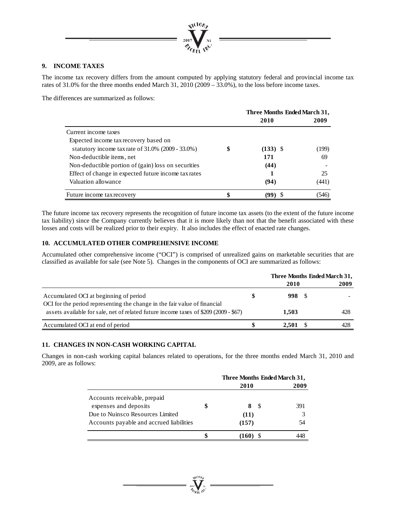

# **9. INCOME TAXES**

The income tax recovery differs from the amount computed by applying statutory federal and provincial income tax rates of 31.0% for the three months ended March 31, 2010 (2009 – 33.0%), to the loss before income taxes.

The differences are summarized as follows:

|                                                      | Three Months Ended March 31, |       |  |
|------------------------------------------------------|------------------------------|-------|--|
|                                                      | 2010                         | 2009  |  |
| Current income taxes                                 |                              |       |  |
| Expected income tax recovery based on                |                              |       |  |
| statutory income tax rate of $31.0\%$ (2009 - 33.0%) | \$<br>$(133)$ \$             | (199) |  |
| Non-deductible items, net                            | 171                          | 69    |  |
| Non-deductible portion of (gain) loss on securities  | (44)                         |       |  |
| Effect of change in expected future income tax rates |                              | 25    |  |
| Valuation allowance                                  | (94)                         | (441) |  |
| Future income tax recovery                           | (99)                         | (546) |  |

The future income tax recovery represents the recognition of future income tax assets (to the extent of the future income tax liability) since the Company currently believes that it is more likely than not that the benefit associated with these losses and costs will be realized prior to their expiry. It also includes the effect of enacted rate changes.

# **10. ACCUMULATED OTHER COMPREHENSIVE INCOME**

Accumulated other comprehensive income ("OCI") is comprised of unrealized gains on marketable securities that are classified as available for sale (see Note 5). Changes in the components of OCI are summarized as follows:

|                                                                                                                                                                   |       | Three Months Ended March 31, |      |  |
|-------------------------------------------------------------------------------------------------------------------------------------------------------------------|-------|------------------------------|------|--|
|                                                                                                                                                                   | 2010  |                              | 2009 |  |
| Accumulated OCI at beginning of period                                                                                                                            | 998 S |                              |      |  |
| OCI for the period representing the change in the fair value of financial<br>assets available for sale, net of related future income taxes of \$209 (2009 - \$67) | 1.503 |                              | 428  |  |
| Accumulated OCI at end of period                                                                                                                                  | 2.501 |                              | 428  |  |

# **11. CHANGES IN NON-CASH WORKING CAPITAL**

Changes in non-cash working capital balances related to operations, for the three months ended March 31, 2010 and 2009, are as follows:

|                                          | Three Months Ended March 31, |      |     |  |
|------------------------------------------|------------------------------|------|-----|--|
|                                          | 2010                         | 2009 |     |  |
| Accounts receivable, prepaid             |                              |      |     |  |
| expenses and deposits                    | \$                           | -S   | 391 |  |
| Due to Nuinsco Resources Limited         | (11)                         |      |     |  |
| Accounts payable and accrued liabilities | (157)                        |      | 54  |  |
|                                          | (160)                        |      |     |  |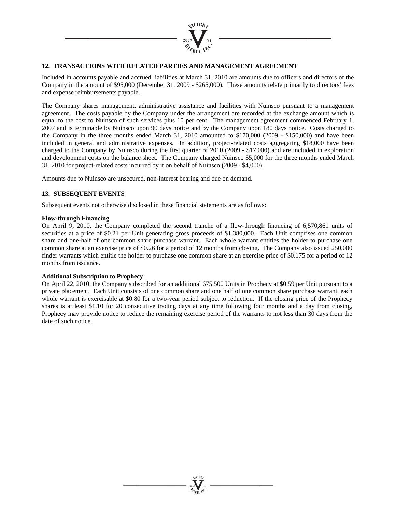

# **12. TRANSACTIONS WITH RELATED PARTIES AND MANAGEMENT AGREEMENT**

Included in accounts payable and accrued liabilities at March 31, 2010 are amounts due to officers and directors of the Company in the amount of \$95,000 (December 31, 2009 - \$265,000). These amounts relate primarily to directors' fees and expense reimbursements payable.

The Company shares management, administrative assistance and facilities with Nuinsco pursuant to a management agreement. The costs payable by the Company under the arrangement are recorded at the exchange amount which is equal to the cost to Nuinsco of such services plus 10 per cent. The management agreement commenced February 1, 2007 and is terminable by Nuinsco upon 90 days notice and by the Company upon 180 days notice. Costs charged to the Company in the three months ended March 31, 2010 amounted to \$170,000 (2009 - \$150,000) and have been included in general and administrative expenses. In addition, project-related costs aggregating \$18,000 have been charged to the Company by Nuinsco during the first quarter of 2010 (2009 - \$17,000) and are included in exploration and development costs on the balance sheet. The Company charged Nuinsco \$5,000 for the three months ended March 31, 2010 for project-related costs incurred by it on behalf of Nuinsco (2009 - \$4,000).

Amounts due to Nuinsco are unsecured, non-interest bearing and due on demand.

# **13. SUBSEQUENT EVENTS**

Subsequent events not otherwise disclosed in these financial statements are as follows:

#### **Flow-through Financing**

On April 9, 2010, the Company completed the second tranche of a flow-through financing of 6,570,861 units of securities at a price of \$0.21 per Unit generating gross proceeds of \$1,380,000. Each Unit comprises one common share and one-half of one common share purchase warrant. Each whole warrant entitles the holder to purchase one common share at an exercise price of \$0.26 for a period of 12 months from closing. The Company also issued 250,000 finder warrants which entitle the holder to purchase one common share at an exercise price of \$0.175 for a period of 12 months from issuance.

# **Additional Subscription to Prophecy**

On April 22, 2010, the Company subscribed for an additional 675,500 Units in Prophecy at \$0.59 per Unit pursuant to a private placement. Each Unit consists of one common share and one half of one common share purchase warrant, each whole warrant is exercisable at \$0.80 for a two-year period subject to reduction. If the closing price of the Prophecy shares is at least \$1.10 for 20 consecutive trading days at any time following four months and a day from closing, Prophecy may provide notice to reduce the remaining exercise period of the warrants to not less than 30 days from the date of such notice.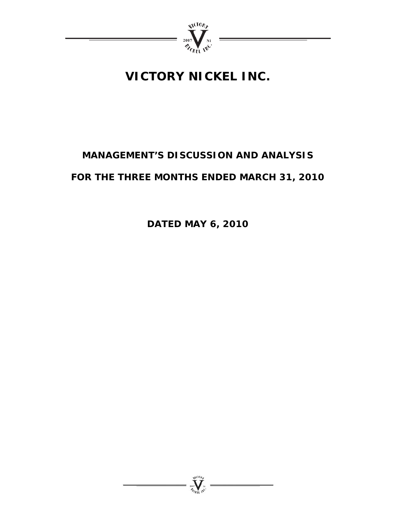

# **VICTORY NICKEL INC.**

# **MANAGEMENT'S DISCUSSION AND ANALYSIS**

# **FOR THE THREE MONTHS ENDED MARCH 31, 2010**

**DATED MAY 6, 2010** 

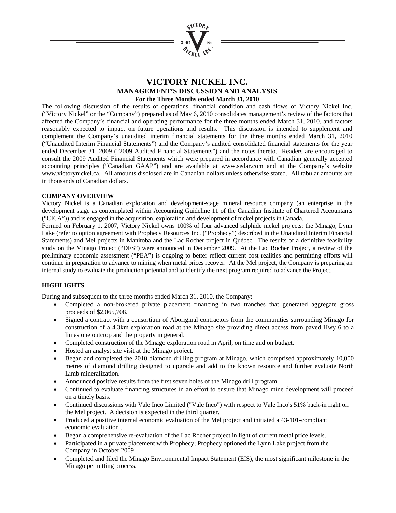

# **VICTORY NICKEL INC. MANAGEMENT'S DISCUSSION AND ANALYSIS For the Three Months ended March 31, 2010**

The following discussion of the results of operations, financial condition and cash flows of Victory Nickel Inc. ("Victory Nickel" or the "Company") prepared as of May 6, 2010 consolidates management's review of the factors that affected the Company's financial and operating performance for the three months ended March 31, 2010, and factors reasonably expected to impact on future operations and results. This discussion is intended to supplement and complement the Company's unaudited interim financial statements for the three months ended March 31, 2010 ("Unaudited Interim Financial Statements") and the Company's audited consolidated financial statements for the year ended December 31, 2009 ("2009 Audited Financial Statements") and the notes thereto. Readers are encouraged to consult the 2009 Audited Financial Statements which were prepared in accordance with Canadian generally accepted accounting principles ("Canadian GAAP") and are available at www.sedar.com and at the Company's website www.victorynickel.ca. All amounts disclosed are in Canadian dollars unless otherwise stated. All tabular amounts are in thousands of Canadian dollars.

# **COMPANY OVERVIEW**

Victory Nickel is a Canadian exploration and development-stage mineral resource company (an enterprise in the development stage as contemplated within Accounting Guideline 11 of the Canadian Institute of Chartered Accountants ("CICA")) and is engaged in the acquisition, exploration and development of nickel projects in Canada.

Formed on February 1, 2007, Victory Nickel owns 100% of four advanced sulphide nickel projects: the Minago, Lynn Lake (refer to option agreement with Prophecy Resources Inc. ("Prophecy") described in the Unaudited Interim Financial Statements) and Mel projects in Manitoba and the Lac Rocher project in Québec. The results of a definitive feasibility study on the Minago Project ("DFS") were announced in December 2009. At the Lac Rocher Project, a review of the preliminary economic assessment ("PEA") is ongoing to better reflect current cost realities and permitting efforts will continue in preparation to advance to mining when metal prices recover. At the Mel project, the Company is preparing an internal study to evaluate the production potential and to identify the next program required to advance the Project.

# **HIGHLIGHTS**

During and subsequent to the three months ended March 31, 2010, the Company:

- Completed a non-brokered private placement financing in two tranches that generated aggregate gross proceeds of \$2,065,708.
- Signed a contract with a consortium of Aboriginal contractors from the communities surrounding Minago for construction of a 4.3km exploration road at the Minago site providing direct access from paved Hwy 6 to a limestone outcrop and the property in general.
- Completed construction of the Minago exploration road in April, on time and on budget.
- Hosted an analyst site visit at the Minago project.
- Began and completed the 2010 diamond drilling program at Minago, which comprised approximately 10,000 metres of diamond drilling designed to upgrade and add to the known resource and further evaluate North Limb mineralization.
- Announced positive results from the first seven holes of the Minago drill program.
- Continued to evaluate financing structures in an effort to ensure that Minago mine development will proceed on a timely basis.
- Continued discussions with Vale Inco Limited ("Vale Inco") with respect to Vale Inco's 51% back-in right on the Mel project. A decision is expected in the third quarter.
- Produced a positive internal economic evaluation of the Mel project and initiated a 43-101-compliant economic evaluation .
- Began a comprehensive re-evaluation of the Lac Rocher project in light of current metal price levels.
- Participated in a private placement with Prophecy; Prophecy optioned the Lynn Lake project from the Company in October 2009.
- Completed and filed the Minago Environmental Impact Statement (EIS), the most significant milestone in the Minago permitting process.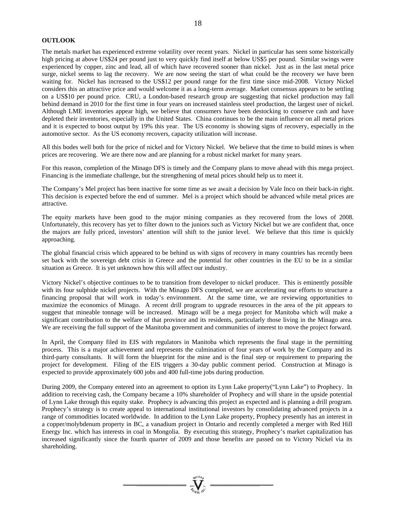#### **OUTLOOK**

The metals market has experienced extreme volatility over recent years. Nickel in particular has seen some historically high pricing at above US\$24 per pound just to very quickly find itself at below US\$5 per pound. Similar swings were experienced by copper, zinc and lead, all of which have recovered sooner than nickel. Just as in the last metal price surge, nickel seems to lag the recovery. We are now seeing the start of what could be the recovery we have been waiting for. Nickel has increased to the US\$12 per pound range for the first time since mid-2008. Victory Nickel considers this an attractive price and would welcome it as a long-term average. Market consensus appears to be settling on a US\$10 per pound price. CRU, a London-based research group are suggesting that nickel production may fall behind demand in 2010 for the first time in four years on increased stainless steel production, the largest user of nickel. Although LME inventories appear high, we believe that consumers have been destocking to conserve cash and have depleted their inventories, especially in the United States. China continues to be the main influence on all metal prices and it is expected to boost output by 19% this year. The US economy is showing signs of recovery, especially in the automotive sector. As the US economy recovers, capacity utilization will increase.

All this bodes well both for the price of nickel and for Victory Nickel. We believe that the time to build mines is when prices are recovering. We are there now and are planning for a robust nickel market for many years.

For this reason, completion of the Minago DFS is timely and the Company plans to move ahead with this mega project. Financing is the immediate challenge, but the strengthening of metal prices should help us to meet it.

The Company's Mel project has been inactive for some time as we await a decision by Vale Inco on their back-in right. This decision is expected before the end of summer. Mel is a project which should be advanced while metal prices are attractive.

The equity markets have been good to the major mining companies as they recovered from the lows of 2008. Unfortunately, this recovery has yet to filter down to the juniors such as Victory Nickel but we are confident that, once the majors are fully priced, investors' attention will shift to the junior level. We believe that this time is quickly approaching.

The global financial crisis which appeared to be behind us with signs of recovery in many countries has recently been set back with the sovereign debt crisis in Greece and the potential for other countries in the EU to be in a similar situation as Greece. It is yet unknown how this will affect our industry.

Victory Nickel's objective continues to be to transition from developer to nickel producer. This is eminently possible with its four sulphide nickel projects. With the Minago DFS completed, we are accelerating our efforts to structure a financing proposal that will work in today's environment. At the same time, we are reviewing opportunities to maximize the economics of Minago. A recent drill program to upgrade resources in the area of the pit appears to suggest that mineable tonnage will be increased. Minago will be a mega project for Manitoba which will make a significant contribution to the welfare of that province and its residents, particularly those living in the Minago area. We are receiving the full support of the Manitoba government and communities of interest to move the project forward.

In April, the Company filed its EIS with regulators in Manitoba which represents the final stage in the permitting process. This is a major achievement and represents the culmination of four years of work by the Company and its third-party consultants. It will form the blueprint for the mine and is the final step or requirement to preparing the project for development. Filing of the EIS triggers a 30-day public comment period. Construction at Minago is expected to provide approximately 600 jobs and 400 full-time jobs during production.

During 2009, the Company entered into an agreement to option its Lynn Lake property("Lynn Lake") to Prophecy. In addition to receiving cash, the Company became a 10% shareholder of Prophecy and will share in the upside potential of Lynn Lake through this equity stake. Prophecy is advancing this project as expected and is planning a drill program. Prophecy's strategy is to create appeal to international institutional investors by consolidating advanced projects in a range of commodities located worldwide. In addition to the Lynn Lake property, Prophecy presently has an interest in a copper/molybdenum property in BC, a vanadium project in Ontario and recently completed a merger with Red Hill Energy Inc. which has interests in coal in Mongolia. By executing this strategy, Prophecy's market capitalization has increased significantly since the fourth quarter of 2009 and those benefits are passed on to Victory Nickel via its shareholding.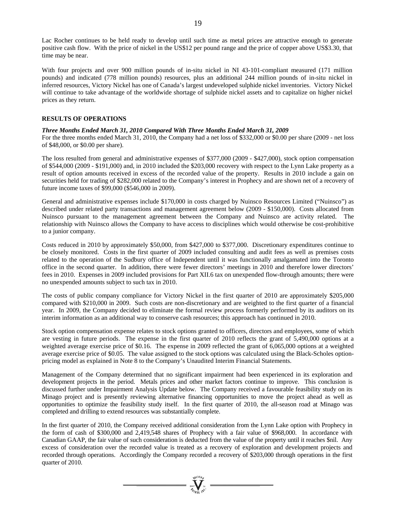Lac Rocher continues to be held ready to develop until such time as metal prices are attractive enough to generate positive cash flow. With the price of nickel in the US\$12 per pound range and the price of copper above US\$3.30, that time may be near.

With four projects and over 900 million pounds of in-situ nickel in NI 43-101-compliant measured (171 million pounds) and indicated (778 million pounds) resources, plus an additional 244 million pounds of in-situ nickel in inferred resources, Victory Nickel has one of Canada's largest undeveloped sulphide nickel inventories. Victory Nickel will continue to take advantage of the worldwide shortage of sulphide nickel assets and to capitalize on higher nickel prices as they return.

#### **RESULTS OF OPERATIONS**

#### *Three Months Ended March 31, 2010 Compared With Three Months Ended March 31, 2009*

For the three months ended March 31, 2010, the Company had a net loss of \$332,000 or \$0.00 per share (2009 - net loss of \$48,000, or \$0.00 per share).

The loss resulted from general and administrative expenses of \$377,000 (2009 - \$427,000), stock option compensation of \$544,000 (2009 - \$191,000) and, in 2010 included the \$203,000 recovery with respect to the Lynn Lake property as a result of option amounts received in excess of the recorded value of the property. Results in 2010 include a gain on securities held for trading of \$282,000 related to the Company's interest in Prophecy and are shown net of a recovery of future income taxes of \$99,000 (\$546,000 in 2009).

General and administrative expenses include \$170,000 in costs charged by Nuinsco Resources Limited ("Nuinsco") as described under related party transactions and management agreement below (2009 - \$150,000). Costs allocated from Nuinsco pursuant to the management agreement between the Company and Nuinsco are activity related. The relationship with Nuinsco allows the Company to have access to disciplines which would otherwise be cost-prohibitive to a junior company.

Costs reduced in 2010 by approximately \$50,000, from \$427,000 to \$377,000. Discretionary expenditures continue to be closely monitored. Costs in the first quarter of 2009 included consulting and audit fees as well as premises costs related to the operation of the Sudbury office of Independent until it was functionally amalgamated into the Toronto office in the second quarter. In addition, there were fewer directors' meetings in 2010 and therefore lower directors' fees in 2010. Expenses in 2009 included provisions for Part XII.6 tax on unexpended flow-through amounts; there were no unexpended amounts subject to such tax in 2010.

The costs of public company compliance for Victory Nickel in the first quarter of 2010 are approximately \$205,000 compared with \$210,000 in 2009. Such costs are non-discretionary and are weighted to the first quarter of a financial year. In 2009, the Company decided to eliminate the formal review process formerly performed by its auditors on its interim information as an additional way to conserve cash resources; this approach has continued in 2010.

Stock option compensation expense relates to stock options granted to officers, directors and employees, some of which are vesting in future periods. The expense in the first quarter of 2010 reflects the grant of 5,490,000 options at a weighted average exercise price of \$0.16. The expense in 2009 reflected the grant of 6,065,000 options at a weighted average exercise price of \$0.05. The value assigned to the stock options was calculated using the Black-Scholes optionpricing model as explained in Note 8 to the Company's Unaudited Interim Financial Statements.

Management of the Company determined that no significant impairment had been experienced in its exploration and development projects in the period. Metals prices and other market factors continue to improve. This conclusion is discussed further under Impairment Analysis Update below. The Company received a favourable feasibility study on its Minago project and is presently reviewing alternative financing opportunities to move the project ahead as well as opportunities to optimize the feasibility study itself. In the first quarter of 2010, the all-season road at Minago was completed and drilling to extend resources was substantially complete.

In the first quarter of 2010, the Company received additional consideration from the Lynn Lake option with Prophecy in the form of cash of \$300,000 and 2,419,548 shares of Prophecy with a fair value of \$968,000. In accordance with Canadian GAAP, the fair value of such consideration is deducted from the value of the property until it reaches \$nil. Any excess of consideration over the recorded value is treated as a recovery of exploration and development projects and recorded through operations. Accordingly the Company recorded a recovery of \$203,000 through operations in the first quarter of 2010.

 $\sum_{\alpha}$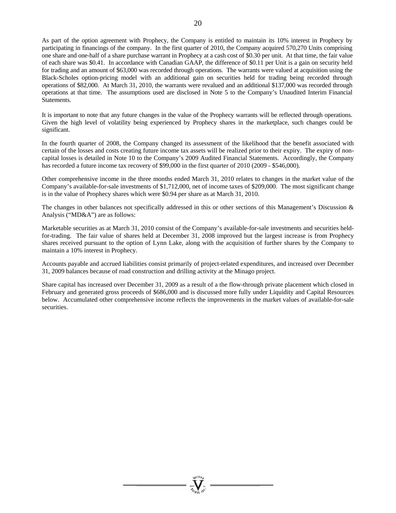As part of the option agreement with Prophecy, the Company is entitled to maintain its 10% interest in Prophecy by participating in financings of the company. In the first quarter of 2010, the Company acquired 570,270 Units comprising one share and one-half of a share purchase warrant in Prophecy at a cash cost of \$0.30 per unit. At that time, the fair value of each share was \$0.41. In accordance with Canadian GAAP, the difference of \$0.11 per Unit is a gain on security held for trading and an amount of \$63,000 was recorded through operations. The warrants were valued at acquisition using the Black-Scholes option-pricing model with an additional gain on securities held for trading being recorded through operations of \$82,000. At March 31, 2010, the warrants were revalued and an additional \$137,000 was recorded through operations at that time. The assumptions used are disclosed in Note 5 to the Company's Unaudited Interim Financial Statements.

It is important to note that any future changes in the value of the Prophecy warrants will be reflected through operations. Given the high level of volatility being experienced by Prophecy shares in the marketplace, such changes could be significant.

In the fourth quarter of 2008, the Company changed its assessment of the likelihood that the benefit associated with certain of the losses and costs creating future income tax assets will be realized prior to their expiry. The expiry of noncapital losses is detailed in Note 10 to the Company's 2009 Audited Financial Statements. Accordingly, the Company has recorded a future income tax recovery of \$99,000 in the first quarter of 2010 (2009 - \$546,000).

Other comprehensive income in the three months ended March 31, 2010 relates to changes in the market value of the Company's available-for-sale investments of \$1,712,000, net of income taxes of \$209,000. The most significant change is in the value of Prophecy shares which were \$0.94 per share as at March 31, 2010.

The changes in other balances not specifically addressed in this or other sections of this Management's Discussion & Analysis ("MD&A") are as follows:

Marketable securities as at March 31, 2010 consist of the Company's available-for-sale investments and securities heldfor-trading. The fair value of shares held at December 31, 2008 improved but the largest increase is from Prophecy shares received pursuant to the option of Lynn Lake, along with the acquisition of further shares by the Company to maintain a 10% interest in Prophecy.

Accounts payable and accrued liabilities consist primarily of project-related expenditures, and increased over December 31, 2009 balances because of road construction and drilling activity at the Minago project.

Share capital has increased over December 31, 2009 as a result of a the flow-through private placement which closed in February and generated gross proceeds of \$686,000 and is discussed more fully under Liquidity and Capital Resources below. Accumulated other comprehensive income reflects the improvements in the market values of available-for-sale securities.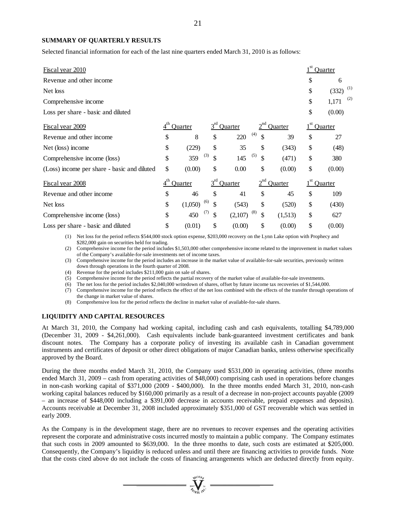#### **SUMMARY OF QUARTERLY RESULTS**

Selected financial information for each of the last nine quarters ended March 31, 2010 is as follows:

| <b>Fiscal year 2010</b>                     |                 |         |                 |         |           |         | Quarter            |
|---------------------------------------------|-----------------|---------|-----------------|---------|-----------|---------|--------------------|
| Revenue and other income                    |                 |         |                 |         |           |         | \$<br>6            |
| Net loss                                    |                 |         |                 |         |           |         | \$<br>(1)<br>(332) |
| Comprehensive income                        |                 |         |                 |         |           |         | \$<br>(2)<br>1,171 |
| Loss per share - basic and diluted          |                 |         |                 |         |           |         | \$<br>(0.00)       |
| Fiscal year 2009                            |                 | Quarter | $3^{rd}$        | Quarter | $2^{nd}$  | Quarter | Quarter            |
| Revenue and other income                    | \$              | 8       | \$              | 220     | (4)<br>\$ | 39      | \$<br>27           |
| Net (loss) income                           | \$              | (229)   | \$              | 35      | \$        | (343)   | \$<br>(48)         |
| Comprehensive income (loss)                 | \$              | 359     | (3)<br>\$       | 145     | (5)<br>\$ | (471)   | \$<br>380          |
| (Loss) income per share - basic and diluted | \$              | (0.00)  | \$              | 0.00    | \$        | (0.00)  | \$<br>(0.00)       |
| Fiscal year 2008                            | $4^{\text{th}}$ | Quarter | 3 <sup>rd</sup> | Quarter | $2^{nd}$  | Quarter | Quarter            |
| Revenue and other income                    | \$              | 46      | \$              | 41      | \$        | 45      | \$<br>109          |
| Net loss                                    | \$              | (1,050) | (6)<br>\$       | (543)   | \$        | (520)   | \$<br>(430)        |
| Comprehensive income (loss)                 | \$              | 450     | (7)<br>\$       | (2,107) | (8)<br>\$ | (1,513) | \$<br>627          |
| Loss per share - basic and diluted          | \$              | (0.01)  | \$              | (0.00)  | \$        | (0.00)  | \$<br>(0.00)       |

(1) Net loss for the period reflects \$544,000 stock option expense, \$203,000 recovery on the Lynn Lake option with Prophecy and \$282,000 gain on securities held for trading.

(2) Comprehensive income for the period includes \$1,503,000 other comprehensive income related to the improvement in market values of the Company's available-for-sale investments net of income taxes.

(3) Comprehensive income for the period includes an increase in the market value of available-for-sale securities, previously written down through operations in the fourth quarter of 2008.

(4) Revenue for the period includes \$211,000 gain on sale of shares.

(5) Comprehensive income for the period reflects the partial recovery of the market value of available-for-sale investments.

(6) The net loss for the period includes \$2,040,000 writedown of shares, offset by future income tax recoveries of \$1,544,000.

(7) Comprehensive income for the period reflects the effect of the net loss combined with the effects of the transfer through operations of the change in market value of shares.

(8) Comprehensive loss for the period reflects the decline in market value of available-for-sale shares.

#### **LIQUIDITY AND CAPITAL RESOURCES**

At March 31, 2010, the Company had working capital, including cash and cash equivalents, totalling \$4,789,000 (December 31, 2009 - \$4,261,000). Cash equivalents include bank-guaranteed investment certificates and bank discount notes. The Company has a corporate policy of investing its available cash in Canadian government instruments and certificates of deposit or other direct obligations of major Canadian banks, unless otherwise specifically approved by the Board.

During the three months ended March 31, 2010, the Company used \$531,000 in operating activities, (three months ended March 31, 2009 – cash from operating activities of \$48,000) comprising cash used in operations before changes in non-cash working capital of \$371,000 (2009 - \$400,000). In the three months ended March 31, 2010, non-cash working capital balances reduced by \$160,000 primarily as a result of a decrease in non-project accounts payable (2009 – an increase of \$448,000 including a \$391,000 decrease in accounts receivable, prepaid expenses and deposits). Accounts receivable at December 31, 2008 included approximately \$351,000 of GST recoverable which was settled in early 2009.

As the Company is in the development stage, there are no revenues to recover expenses and the operating activities represent the corporate and administrative costs incurred mostly to maintain a public company. The Company estimates that such costs in 2009 amounted to \$639,000. In the three months to date, such costs are estimated at \$205,000. Consequently, the Company's liquidity is reduced unless and until there are financing activities to provide funds. Note that the costs cited above do not include the costs of financing arrangements which are deducted directly from equity.

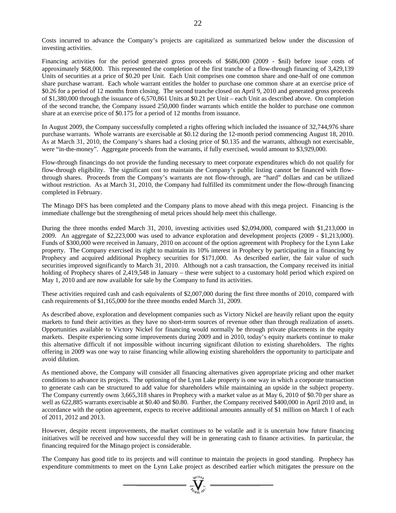Financing activities for the period generated gross proceeds of \$686,000 (2009 - \$nil) before issue costs of approximately \$68,000. This represented the completion of the first tranche of a flow-through financing of 3,429,139 Units of securities at a price of \$0.20 per Unit. Each Unit comprises one common share and one-half of one common share purchase warrant. Each whole warrant entitles the holder to purchase one common share at an exercise price of \$0.26 for a period of 12 months from closing. The second tranche closed on April 9, 2010 and generated gross proceeds of \$1,380,000 through the issuance of 6,570,861 Units at \$0.21 per Unit – each Unit as described above. On completion of the second tranche, the Company issued 250,000 finder warrants which entitle the holder to purchase one common share at an exercise price of \$0.175 for a period of 12 months from issuance.

In August 2009, the Company successfully completed a rights offering which included the issuance of 32,744,976 share purchase warrants. Whole warrants are exercisable at \$0.12 during the 12-month period commencing August 18, 2010. As at March 31, 2010, the Company's shares had a closing price of \$0.135 and the warrants, although not exercisable, were "in-the-money". Aggregate proceeds from the warrants, if fully exercised, would amount to \$3,929,000.

Flow-through financings do not provide the funding necessary to meet corporate expenditures which do not qualify for flow-through eligibility. The significant cost to maintain the Company's public listing cannot be financed with flowthrough shares. Proceeds from the Company's warrants are not flow-through, are "hard" dollars and can be utilized without restriction. As at March 31, 2010, the Company had fulfilled its commitment under the flow-through financing completed in February.

The Minago DFS has been completed and the Company plans to move ahead with this mega project. Financing is the immediate challenge but the strengthening of metal prices should help meet this challenge.

During the three months ended March 31, 2010, investing activities used \$2,094,000, compared with \$1,213,000 in 2009. An aggregate of \$2,223,000 was used to advance exploration and development projects (2009 - \$1,213,000). Funds of \$300,000 were received in January, 2010 on account of the option agreement with Prophecy for the Lynn Lake property. The Company exercised its right to maintain its 10% interest in Prophecy by participating in a financing by Prophecy and acquired additional Prophecy securities for \$171,000. As described earlier, the fair value of such securities improved significantly to March 31, 2010. Although not a cash transaction, the Company received its initial holding of Prophecy shares of 2,419,548 in January – these were subject to a customary hold period which expired on May 1, 2010 and are now available for sale by the Company to fund its activities.

These activities required cash and cash equivalents of \$2,007,000 during the first three months of 2010, compared with cash requirements of \$1,165,000 for the three months ended March 31, 2009.

As described above, exploration and development companies such as Victory Nickel are heavily reliant upon the equity markets to fund their activities as they have no short-term sources of revenue other than through realization of assets. Opportunities available to Victory Nickel for financing would normally be through private placements in the equity markets. Despite experiencing some improvements during 2009 and in 2010, today's equity markets continue to make this alternative difficult if not impossible without incurring significant dilution to existing shareholders. The rights offering in 2009 was one way to raise financing while allowing existing shareholders the opportunity to participate and avoid dilution.

As mentioned above, the Company will consider all financing alternatives given appropriate pricing and other market conditions to advance its projects. The optioning of the Lynn Lake property is one way in which a corporate transaction to generate cash can be structured to add value for shareholders while maintaining an upside in the subject property. The Company currently owns 3,665,318 shares in Prophecy with a market value as at May 6, 2010 of \$0.70 per share as well as 622,885 warrants exercisable at \$0.40 and \$0.80. Further, the Company received \$400,000 in April 2010 and, in accordance with the option agreement, expects to receive additional amounts annually of \$1 million on March 1 of each of 2011, 2012 and 2013.

However, despite recent improvements, the market continues to be volatile and it is uncertain how future financing initiatives will be received and how successful they will be in generating cash to finance activities. In particular, the financing required for the Minago project is considerable.

The Company has good title to its projects and will continue to maintain the projects in good standing. Prophecy has expenditure commitments to meet on the Lynn Lake project as described earlier which mitigates the pressure on the

 $\sum_{\alpha}$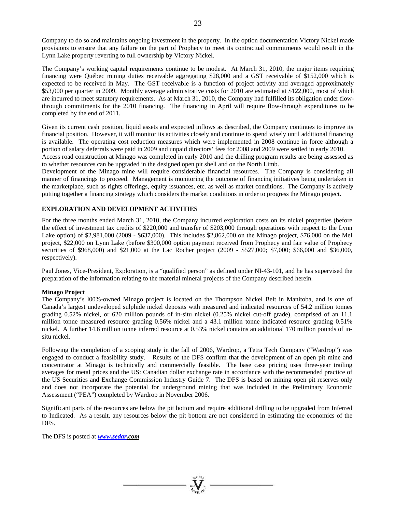Company to do so and maintains ongoing investment in the property. In the option documentation Victory Nickel made provisions to ensure that any failure on the part of Prophecy to meet its contractual commitments would result in the Lynn Lake property reverting to full ownership by Victory Nickel.

The Company's working capital requirements continue to be modest. At March 31, 2010, the major items requiring financing were Québec mining duties receivable aggregating \$28,000 and a GST receivable of \$152,000 which is expected to be received in May. The GST receivable is a function of project activity and averaged approximately \$53,000 per quarter in 2009. Monthly average administrative costs for 2010 are estimated at \$122,000, most of which are incurred to meet statutory requirements. As at March 31, 2010, the Company had fulfilled its obligation under flowthrough commitments for the 2010 financing. The financing in April will require flow-through expenditures to be completed by the end of 2011.

Given its current cash position, liquid assets and expected inflows as described, the Company continues to improve its financial position. However, it will monitor its activities closely and continue to spend wisely until additional financing is available. The operating cost reduction measures which were implemented in 2008 continue in force although a portion of salary deferrals were paid in 2009 and unpaid directors' fees for 2008 and 2009 were settled in early 2010.

Access road construction at Minago was completed in early 2010 and the drilling program results are being assessed as to whether resources can be upgraded in the designed open pit shell and on the North Limb.

Development of the Minago mine will require considerable financial resources. The Company is considering all manner of financings to proceed. Management is monitoring the outcome of financing initiatives being undertaken in the marketplace, such as rights offerings, equity issuances, etc. as well as market conditions. The Company is actively putting together a financing strategy which considers the market conditions in order to progress the Minago project.

#### **EXPLORATION AND DEVELOPMENT ACTIVITIES**

For the three months ended March 31, 2010, the Company incurred exploration costs on its nickel properties (before the effect of investment tax credits of \$220,000 and transfer of \$203,000 through operations with respect to the Lynn Lake option) of \$2,981,000 (2009 - \$637,000). This includes \$2,862,000 on the Minago project, \$76,000 on the Mel project, \$22,000 on Lynn Lake (before \$300,000 option payment received from Prophecy and fair value of Prophecy securities of \$968,000) and \$21,000 at the Lac Rocher project (2009 - \$527,000; \$7,000; \$66,000 and \$36,000, respectively).

Paul Jones, Vice-President, Exploration, is a "qualified person" as defined under NI-43-101, and he has supervised the preparation of the information relating to the material mineral projects of the Company described herein.

#### **Minago Project**

The Company's l00%-owned Minago project is located on the Thompson Nickel Belt in Manitoba, and is one of Canada's largest undeveloped sulphide nickel deposits with measured and indicated resources of 54.2 million tonnes grading 0.52% nickel, or 620 million pounds of in-situ nickel (0.25% nickel cut-off grade), comprised of an 11.1 million tonne measured resource grading 0.56% nickel and a 43.1 million tonne indicated resource grading 0.51% nickel. A further 14.6 million tonne inferred resource at 0.53% nickel contains an additional 170 million pounds of insitu nickel.

Following the completion of a scoping study in the fall of 2006, Wardrop, a Tetra Tech Company ("Wardrop") was engaged to conduct a feasibility study. Results of the DFS confirm that the development of an open pit mine and concentrator at Minago is technically and commercially feasible. The base case pricing uses three-year trailing averages for metal prices and the US: Canadian dollar exchange rate in accordance with the recommended practice of the US Securities and Exchange Commission Industry Guide 7. The DFS is based on mining open pit reserves only and does not incorporate the potential for underground mining that was included in the Preliminary Economic Assessment ("PEA") completed by Wardrop in November 2006.

Significant parts of the resources are below the pit bottom and require additional drilling to be upgraded from Inferred to Indicated. As a result, any resources below the pit bottom are not considered in estimating the economics of the DFS.

The DFS is posted at *www.sedar.com*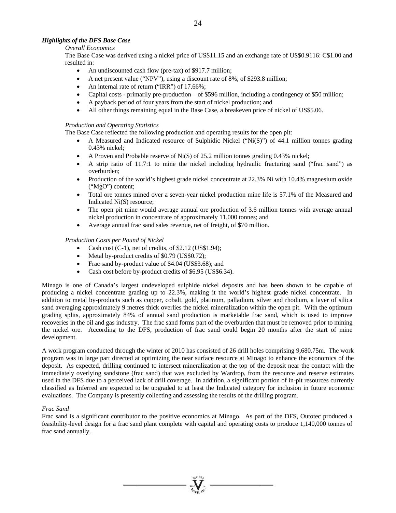# *Highlights of the DFS Base Case*

# *Overall Economics*

The Base Case was derived using a nickel price of US\$11.15 and an exchange rate of US\$0.9116: C\$1.00 and resulted in:

- An undiscounted cash flow (pre-tax) of \$917.7 million;
- A net present value ("NPV"), using a discount rate of 8%, of \$293.8 million;
- An internal rate of return ("IRR") of 17.66%;
- Capital costs primarily pre-production of \$596 million, including a contingency of \$50 million;
- A payback period of four years from the start of nickel production; and
- All other things remaining equal in the Base Case, a breakeven price of nickel of US\$5.06.

# *Production and Operating Statistics*

The Base Case reflected the following production and operating results for the open pit:

- A Measured and Indicated resource of Sulphidic Nickel ("Ni(S)") of 44.1 million tonnes grading 0.43% nickel;
- A Proven and Probable reserve of Ni(S) of 25.2 million tonnes grading 0.43% nickel;
- A strip ratio of 11.7:1 to mine the nickel including hydraulic fracturing sand ("frac sand") as overburden;
- Production of the world's highest grade nickel concentrate at 22.3% Ni with 10.4% magnesium oxide ("MgO") content;
- Total ore tonnes mined over a seven-year nickel production mine life is 57.1% of the Measured and Indicated Ni(S) resource;
- The open pit mine would average annual ore production of 3.6 million tonnes with average annual nickel production in concentrate of approximately 11,000 tonnes; and
- Average annual frac sand sales revenue, net of freight, of \$70 million.

# *Production Costs per Pound of Nickel*

- Cash cost (C-1), net of credits, of \$2.12 (US\$1.94);
- Metal by-product credits of \$0.79 (US\$0.72);
- Frac sand by-product value of \$4.04 (US\$3.68); and
- Cash cost before by-product credits of \$6.95 (US\$6.34).

Minago is one of Canada's largest undeveloped sulphide nickel deposits and has been shown to be capable of producing a nickel concentrate grading up to 22.3%, making it the world's highest grade nickel concentrate. In addition to metal by-products such as copper, cobalt, gold, platinum, palladium, silver and rhodium, a layer of silica sand averaging approximately 9 metres thick overlies the nickel mineralization within the open pit. With the optimum grading splits, approximately 84% of annual sand production is marketable frac sand, which is used to improve recoveries in the oil and gas industry. The frac sand forms part of the overburden that must be removed prior to mining the nickel ore. According to the DFS, production of frac sand could begin 20 months after the start of mine development.

A work program conducted through the winter of 2010 has consisted of 26 drill holes comprising 9,680.75m. The work program was in large part directed at optimizing the near surface resource at Minago to enhance the economics of the deposit. As expected, drilling continued to intersect mineralization at the top of the deposit near the contact with the immediately overlying sandstone (frac sand) that was excluded by Wardrop, from the resource and reserve estimates used in the DFS due to a perceived lack of drill coverage. In addition, a significant portion of in-pit resources currently classified as Inferred are expected to be upgraded to at least the Indicated category for inclusion in future economic evaluations. The Company is presently collecting and assessing the results of the drilling program.

# *Frac Sand*

Frac sand is a significant contributor to the positive economics at Minago. As part of the DFS, Outotec produced a feasibility-level design for a frac sand plant complete with capital and operating costs to produce 1,140,000 tonnes of frac sand annually.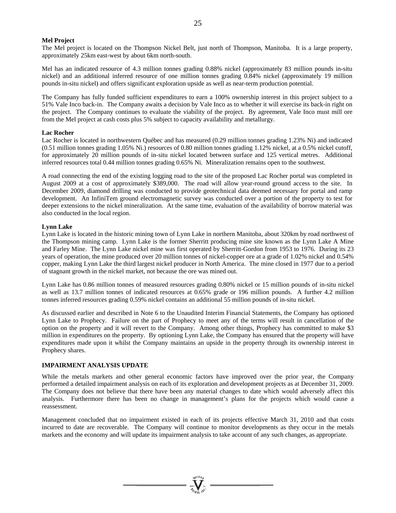#### **Mel Project**

The Mel project is located on the Thompson Nickel Belt, just north of Thompson, Manitoba. It is a large property, approximately 25km east-west by about 6km north-south.

Mel has an indicated resource of 4.3 million tonnes grading 0.88% nickel (approximately 83 million pounds in-situ nickel) and an additional inferred resource of one million tonnes grading 0.84% nickel (approximately 19 million pounds in-situ nickel) and offers significant exploration upside as well as near-term production potential.

The Company has fully funded sufficient expenditures to earn a 100% ownership interest in this project subject to a 51% Vale Inco back-in. The Company awaits a decision by Vale Inco as to whether it will exercise its back-in right on the project. The Company continues to evaluate the viability of the project. By agreement, Vale Inco must mill ore from the Mel project at cash costs plus 5% subject to capacity availability and metallurgy.

#### **Lac Rocher**

Lac Rocher is located in northwestern Québec and has measured (0.29 million tonnes grading 1.23% Ni) and indicated (0.51 million tonnes grading 1.05% Ni.) resources of 0.80 million tonnes grading 1.12% nickel, at a 0.5% nickel cutoff, for approximately 20 million pounds of in-situ nickel located between surface and 125 vertical metres. Additional inferred resources total 0.44 million tonnes grading 0.65% Ni. Mineralization remains open to the southwest.

A road connecting the end of the existing logging road to the site of the proposed Lac Rocher portal was completed in August 2009 at a cost of approximately \$389,000. The road will allow year-round ground access to the site. In December 2009, diamond drilling was conducted to provide geotechnical data deemed necessary for portal and ramp development. An InfiniTem ground electromagnetic survey was conducted over a portion of the property to test for deeper extensions to the nickel mineralization. At the same time, evaluation of the availability of borrow material was also conducted in the local region.

#### **Lynn Lake**

Lynn Lake is located in the historic mining town of Lynn Lake in northern Manitoba, about 320km by road northwest of the Thompson mining camp. Lynn Lake is the former Sherritt producing mine site known as the Lynn Lake A Mine and Farley Mine. The Lynn Lake nickel mine was first operated by Sherritt-Gordon from 1953 to 1976. During its 23 years of operation, the mine produced over 20 million tonnes of nickel-copper ore at a grade of 1.02% nickel and 0.54% copper, making Lynn Lake the third largest nickel producer in North America. The mine closed in 1977 due to a period of stagnant growth in the nickel market, not because the ore was mined out.

Lynn Lake has 0.86 million tonnes of measured resources grading 0.80% nickel or 15 million pounds of in-situ nickel as well as 13.7 million tonnes of indicated resources at 0.65% grade or 196 million pounds. A further 4.2 million tonnes inferred resources grading 0.59% nickel contains an additional 55 million pounds of in-situ nickel.

As discussed earlier and described in Note 6 to the Unaudited Interim Financial Statements, the Company has optioned Lynn Lake to Prophecy. Failure on the part of Prophecy to meet any of the terms will result in cancellation of the option on the property and it will revert to the Company. Among other things, Prophecy has committed to make \$3 million in expenditures on the property. By optioning Lynn Lake, the Company has ensured that the property will have expenditures made upon it whilst the Company maintains an upside in the property through its ownership interest in Prophecy shares.

#### **IMPAIRMENT ANALYSIS UPDATE**

While the metals markets and other general economic factors have improved over the prior year, the Company performed a detailed impairment analysis on each of its exploration and development projects as at December 31, 2009. The Company does not believe that there have been any material changes to date which would adversely affect this analysis. Furthermore there has been no change in management's plans for the projects which would cause a reassessment.

Management concluded that no impairment existed in each of its projects effective March 31, 2010 and that costs incurred to date are recoverable. The Company will continue to monitor developments as they occur in the metals markets and the economy and will update its impairment analysis to take account of any such changes, as appropriate.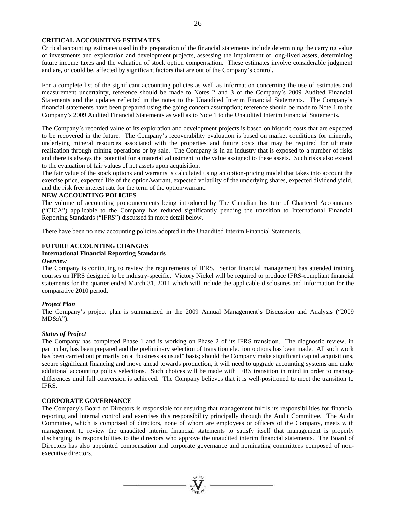#### **CRITICAL ACCOUNTING ESTIMATES**

Critical accounting estimates used in the preparation of the financial statements include determining the carrying value of investments and exploration and development projects, assessing the impairment of long-lived assets, determining future income taxes and the valuation of stock option compensation. These estimates involve considerable judgment and are, or could be, affected by significant factors that are out of the Company's control.

For a complete list of the significant accounting policies as well as information concerning the use of estimates and measurement uncertainty, reference should be made to Notes 2 and 3 of the Company's 2009 Audited Financial Statements and the updates reflected in the notes to the Unaudited Interim Financial Statements. The Company's financial statements have been prepared using the going concern assumption; reference should be made to Note 1 to the Company's 2009 Audited Financial Statements as well as to Note 1 to the Unaudited Interim Financial Statements.

The Company's recorded value of its exploration and development projects is based on historic costs that are expected to be recovered in the future. The Company's recoverability evaluation is based on market conditions for minerals, underlying mineral resources associated with the properties and future costs that may be required for ultimate realization through mining operations or by sale. The Company is in an industry that is exposed to a number of risks and there is always the potential for a material adjustment to the value assigned to these assets. Such risks also extend to the evaluation of fair values of net assets upon acquisition.

The fair value of the stock options and warrants is calculated using an option-pricing model that takes into account the exercise price, expected life of the option/warrant, expected volatility of the underlying shares, expected dividend yield, and the risk free interest rate for the term of the option/warrant.

#### **NEW ACCOUNTING POLICIES**

The volume of accounting pronouncements being introduced by The Canadian Institute of Chartered Accountants ("CICA") applicable to the Company has reduced significantly pending the transition to International Financial Reporting Standards ("IFRS") discussed in more detail below.

There have been no new accounting policies adopted in the Unaudited Interim Financial Statements.

#### **FUTURE ACCOUNTING CHANGES**

# **International Financial Reporting Standards**

#### *Overview*

The Company is continuing to review the requirements of IFRS. Senior financial management has attended training courses on IFRS designed to be industry-specific. Victory Nickel will be required to produce IFRS-compliant financial statements for the quarter ended March 31, 2011 which will include the applicable disclosures and information for the comparative 2010 period.

#### *Project Plan*

The Company's project plan is summarized in the 2009 Annual Management's Discussion and Analysis ("2009 MD&A").

#### *Status of Project*

The Company has completed Phase 1 and is working on Phase 2 of its IFRS transition. The diagnostic review, in particular, has been prepared and the preliminary selection of transition election options has been made. All such work has been carried out primarily on a "business as usual" basis; should the Company make significant capital acquisitions, secure significant financing and move ahead towards production, it will need to upgrade accounting systems and make additional accounting policy selections. Such choices will be made with IFRS transition in mind in order to manage differences until full conversion is achieved. The Company believes that it is well-positioned to meet the transition to IFRS.

#### **CORPORATE GOVERNANCE**

The Company's Board of Directors is responsible for ensuring that management fulfils its responsibilities for financial reporting and internal control and exercises this responsibility principally through the Audit Committee. The Audit Committee, which is comprised of directors, none of whom are employees or officers of the Company, meets with management to review the unaudited interim financial statements to satisfy itself that management is properly discharging its responsibilities to the directors who approve the unaudited interim financial statements. The Board of Directors has also appointed compensation and corporate governance and nominating committees composed of nonexecutive directors.

 $\mathbf{V}_{\mathbf{w}}$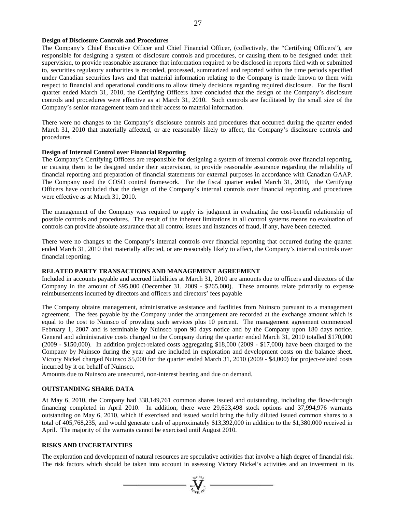#### **Design of Disclosure Controls and Procedures**

The Company's Chief Executive Officer and Chief Financial Officer, (collectively, the "Certifying Officers"), are responsible for designing a system of disclosure controls and procedures, or causing them to be designed under their supervision, to provide reasonable assurance that information required to be disclosed in reports filed with or submitted to, securities regulatory authorities is recorded, processed, summarized and reported within the time periods specified under Canadian securities laws and that material information relating to the Company is made known to them with respect to financial and operational conditions to allow timely decisions regarding required disclosure. For the fiscal quarter ended March 31, 2010, the Certifying Officers have concluded that the design of the Company's disclosure controls and procedures were effective as at March 31, 2010. Such controls are facilitated by the small size of the Company's senior management team and their access to material information.

There were no changes to the Company's disclosure controls and procedures that occurred during the quarter ended March 31, 2010 that materially affected, or are reasonably likely to affect, the Company's disclosure controls and procedures.

#### **Design of Internal Control over Financial Reporting**

The Company's Certifying Officers are responsible for designing a system of internal controls over financial reporting, or causing them to be designed under their supervision, to provide reasonable assurance regarding the reliability of financial reporting and preparation of financial statements for external purposes in accordance with Canadian GAAP. The Company used the COSO control framework. For the fiscal quarter ended March 31, 2010, the Certifying Officers have concluded that the design of the Company's internal controls over financial reporting and procedures were effective as at March 31, 2010.

The management of the Company was required to apply its judgment in evaluating the cost-benefit relationship of possible controls and procedures. The result of the inherent limitations in all control systems means no evaluation of controls can provide absolute assurance that all control issues and instances of fraud, if any, have been detected.

There were no changes to the Company's internal controls over financial reporting that occurred during the quarter ended March 31, 2010 that materially affected, or are reasonably likely to affect, the Company's internal controls over financial reporting.

#### **RELATED PARTY TRANSACTIONS AND MANAGEMENT AGREEMENT**

Included in accounts payable and accrued liabilities at March 31, 2010 are amounts due to officers and directors of the Company in the amount of \$95,000 (December 31, 2009 - \$265,000). These amounts relate primarily to expense reimbursements incurred by directors and officers and directors' fees payable

The Company obtains management, administrative assistance and facilities from Nuinsco pursuant to a management agreement. The fees payable by the Company under the arrangement are recorded at the exchange amount which is equal to the cost to Nuinsco of providing such services plus 10 percent. The management agreement commenced February 1, 2007 and is terminable by Nuinsco upon 90 days notice and by the Company upon 180 days notice. General and administrative costs charged to the Company during the quarter ended March 31, 2010 totalled \$170,000 (2009 - \$150,000). In addition project-related costs aggregating \$18,000 (2009 - \$17,000) have been charged to the Company by Nuinsco during the year and are included in exploration and development costs on the balance sheet. Victory Nickel charged Nuinsco \$5,000 for the quarter ended March 31, 2010 (2009 - \$4,000) for project-related costs incurred by it on behalf of Nuinsco.

Amounts due to Nuinsco are unsecured, non-interest bearing and due on demand.

#### **OUTSTANDING SHARE DATA**

At May 6, 2010, the Company had 338,149,761 common shares issued and outstanding, including the flow-through financing completed in April 2010. In addition, there were 29,623,498 stock options and 37,994,976 warrants outstanding on May 6, 2010, which if exercised and issued would bring the fully diluted issued common shares to a total of 405,768,235, and would generate cash of approximately \$13,392,000 in addition to the \$1,380,000 received in April. The majority of the warrants cannot be exercised until August 2010.

# **RISKS AND UNCERTAINTIES**

The exploration and development of natural resources are speculative activities that involve a high degree of financial risk. The risk factors which should be taken into account in assessing Victory Nickel's activities and an investment in its

 $\sum_{\alpha}$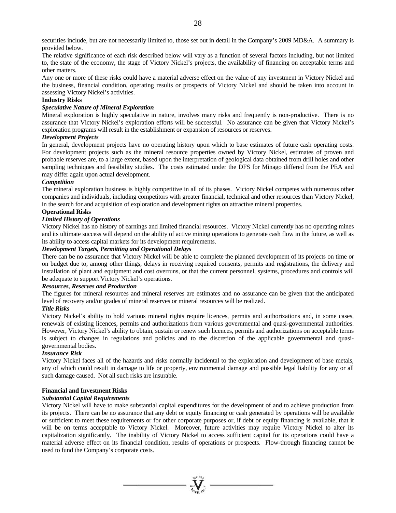securities include, but are not necessarily limited to, those set out in detail in the Company's 2009 MD&A. A summary is provided below.

The relative significance of each risk described below will vary as a function of several factors including, but not limited to, the state of the economy, the stage of Victory Nickel's projects, the availability of financing on acceptable terms and other matters.

Any one or more of these risks could have a material adverse effect on the value of any investment in Victory Nickel and the business, financial condition, operating results or prospects of Victory Nickel and should be taken into account in assessing Victory Nickel's activities.

#### **Industry Risks**

# *Speculative Nature of Mineral Exploration*

Mineral exploration is highly speculative in nature, involves many risks and frequently is non-productive. There is no assurance that Victory Nickel's exploration efforts will be successful. No assurance can be given that Victory Nickel's exploration programs will result in the establishment or expansion of resources or reserves.

#### *Development Projects*

In general, development projects have no operating history upon which to base estimates of future cash operating costs. For development projects such as the mineral resource properties owned by Victory Nickel, estimates of proven and probable reserves are, to a large extent, based upon the interpretation of geological data obtained from drill holes and other sampling techniques and feasibility studies. The costs estimated under the DFS for Minago differed from the PEA and may differ again upon actual development.

#### *Competition*

The mineral exploration business is highly competitive in all of its phases. Victory Nickel competes with numerous other companies and individuals, including competitors with greater financial, technical and other resources than Victory Nickel, in the search for and acquisition of exploration and development rights on attractive mineral properties.

#### **Operational Risks**

#### *Limited History of Operations*

Victory Nickel has no history of earnings and limited financial resources. Victory Nickel currently has no operating mines and its ultimate success will depend on the ability of active mining operations to generate cash flow in the future, as well as its ability to access capital markets for its development requirements.

#### *Development Targets, Permitting and Operational Delays*

There can be no assurance that Victory Nickel will be able to complete the planned development of its projects on time or on budget due to, among other things, delays in receiving required consents, permits and registrations, the delivery and installation of plant and equipment and cost overruns, or that the current personnel, systems, procedures and controls will be adequate to support Victory Nickel's operations.

#### *Resources, Reserves and Production*

The figures for mineral resources and mineral reserves are estimates and no assurance can be given that the anticipated level of recovery and/or grades of mineral reserves or mineral resources will be realized.

#### *Title Risks*

Victory Nickel's ability to hold various mineral rights require licences, permits and authorizations and, in some cases, renewals of existing licences, permits and authorizations from various governmental and quasi-governmental authorities. However, Victory Nickel's ability to obtain, sustain or renew such licences, permits and authorizations on acceptable terms is subject to changes in regulations and policies and to the discretion of the applicable governmental and quasigovernmental bodies.

#### *Insurance Risk*

Victory Nickel faces all of the hazards and risks normally incidental to the exploration and development of base metals, any of which could result in damage to life or property, environmental damage and possible legal liability for any or all such damage caused. Not all such risks are insurable.

#### **Financial and Investment Risks**

#### *Substantial Capital Requirements*

Victory Nickel will have to make substantial capital expenditures for the development of and to achieve production from its projects. There can be no assurance that any debt or equity financing or cash generated by operations will be available or sufficient to meet these requirements or for other corporate purposes or, if debt or equity financing is available, that it will be on terms acceptable to Victory Nickel. Moreover, future activities may require Victory Nickel to alter its capitalization significantly. The inability of Victory Nickel to access sufficient capital for its operations could have a material adverse effect on its financial condition, results of operations or prospects. Flow-through financing cannot be used to fund the Company's corporate costs.

 $\mathbf{V}_{\mathbf{w}}$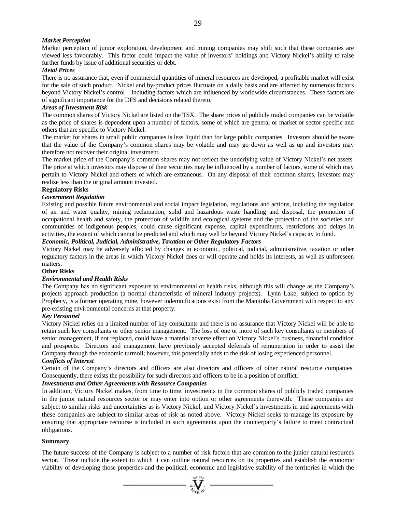## *Market Perception*

Market perception of junior exploration, development and mining companies may shift such that these companies are viewed less favourably. This factor could impact the value of investors' holdings and Victory Nickel's ability to raise further funds by issue of additional securities or debt.

#### *Metal Prices*

There is no assurance that, even if commercial quantities of mineral resources are developed, a profitable market will exist for the sale of such product. Nickel and by-product prices fluctuate on a daily basis and are affected by numerous factors beyond Victory Nickel's control – including factors which are influenced by worldwide circumstances. These factors are of significant importance for the DFS and decisions related thereto.

#### *Areas of Investment Risk*

The common shares of Victory Nickel are listed on the TSX. The share prices of publicly traded companies can be volatile as the price of shares is dependent upon a number of factors, some of which are general or market or sector specific and others that are specific to Victory Nickel.

The market for shares in small public companies is less liquid than for large public companies. Investors should be aware that the value of the Company's common shares may be volatile and may go down as well as up and investors may therefore not recover their original investment.

The market price of the Company's common shares may not reflect the underlying value of Victory Nickel's net assets. The price at which investors may dispose of their securities may be influenced by a number of factors, some of which may pertain to Victory Nickel and others of which are extraneous. On any disposal of their common shares, investors may realize less than the original amount invested.

#### **Regulatory Risks**

#### *Government Regulation*

Existing and possible future environmental and social impact legislation, regulations and actions, including the regulation of air and water quality, mining reclamation, solid and hazardous waste handling and disposal, the promotion of occupational health and safety, the protection of wildlife and ecological systems and the protection of the societies and communities of indigenous peoples, could cause significant expense, capital expenditures, restrictions and delays in activities, the extent of which cannot be predicted and which may well be beyond Victory Nickel's capacity to fund.

# *Economic, Political, Judicial, Administrative, Taxation or Other Regulatory Factors*

Victory Nickel may be adversely affected by changes in economic, political, judicial, administrative, taxation or other regulatory factors in the areas in which Victory Nickel does or will operate and holds its interests, as well as unforeseen matters.

#### **Other Risks**

#### *Environmental and Health Risks*

The Company has no significant exposure to environmental or health risks, although this will change as the Company's projects approach production (a normal characteristic of mineral industry projects). Lynn Lake, subject to option by Prophecy, is a former operating mine, however indemnifications exist from the Manitoba Government with respect to any pre-existing environmental concerns at that property.

#### *Key Personnel*

Victory Nickel relies on a limited number of key consultants and there is no assurance that Victory Nickel will be able to retain such key consultants or other senior management. The loss of one or more of such key consultants or members of senior management, if not replaced, could have a material adverse effect on Victory Nickel's business, financial condition and prospects. Directors and management have previously accepted deferrals of remuneration in order to assist the Company through the economic turmoil; however, this potentially adds to the risk of losing experienced personnel.

#### *Conflicts of Interest*

Certain of the Company's directors and officers are also directors and officers of other natural resource companies. Consequently, there exists the possibility for such directors and officers to be in a position of conflict.

#### *Investments and Other Agreements with Resource Companies*

In addition, Victory Nickel makes, from time to time, investments in the common shares of publicly traded companies in the junior natural resources sector or may enter into option or other agreements therewith. These companies are subject to similar risks and uncertainties as is Victory Nickel, and Victory Nickel's investments in and agreements with these companies are subject to similar areas of risk as noted above. Victory Nickel seeks to manage its exposure by ensuring that appropriate recourse is included in such agreements upon the counterparty's failure to meet contractual obligations.

#### **Summary**

The future success of the Company is subject to a number of risk factors that are common to the junior natural resources sector. These include the extent to which it can outline natural resources on its properties and establish the economic viability of developing those properties and the political, economic and legislative stability of the territories in which the

 $\sum_{\alpha}$